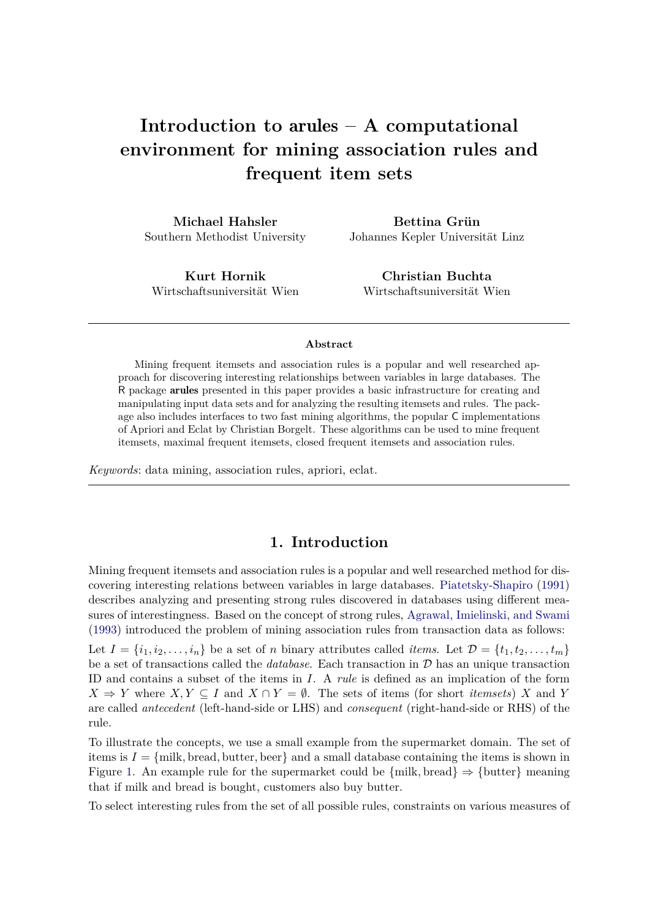# **Introduction to** arules **– A computational environment for mining association rules and frequent item sets**

**Michael Hahsler** Southern Methodist University

**Bettina Grün** Johannes Kepler Universität Linz

**Kurt Hornik** Wirtschaftsuniversität Wien

**Christian Buchta** Wirtschaftsuniversität Wien

#### **Abstract**

Mining frequent itemsets and association rules is a popular and well researched approach for discovering interesting relationships between variables in large databases. The R package arules presented in this paper provides a basic infrastructure for creating and manipulating input data sets and for analyzing the resulting itemsets and rules. The package also includes interfaces to two fast mining algorithms, the popular C implementations of Apriori and Eclat by Christian Borgelt. These algorithms can be used to mine frequent itemsets, maximal frequent itemsets, closed frequent itemsets and association rules.

*Keywords*: data mining, association rules, apriori, eclat.

# **1. Introduction**

Mining frequent itemsets and association rules is a popular and well researched method for discovering interesting relations between variables in large databases. [Piatetsky-Shapiro](#page-36-0) [\(1991\)](#page-36-0) describes analyzing and presenting strong rules discovered in databases using different measures of interestingness. Based on the concept of strong rules, [Agrawal, Imielinski, and Swami](#page-34-0) [\(1993\)](#page-34-0) introduced the problem of mining association rules from transaction data as follows: Let  $I = \{i_1, i_2, \ldots, i_n\}$  be a set of *n* binary attributes called *items*. Let  $\mathcal{D} = \{t_1, t_2, \ldots, t_m\}$ be a set of transactions called the *database*. Each transaction in D has an unique transaction ID and contains a subset of the items in *I*. A *rule* is defined as an implication of the form  $X \Rightarrow Y$  where  $X, Y \subseteq I$  and  $X \cap Y = \emptyset$ . The sets of items (for short *itemsets*) *X* and *Y* are called *antecedent* (left-hand-side or LHS) and *consequent* (right-hand-side or RHS) of the rule.

To illustrate the concepts, we use a small example from the supermarket domain. The set of items is  $I = \{m$ ilk, bread, butter, beer and a small database containing the items is shown in Figure [1.](#page-1-0) An example rule for the supermarket could be  $\{\text{milk}, \text{bread}\} \Rightarrow \{\text{butter}\}\$  meaning that if milk and bread is bought, customers also buy butter.

To select interesting rules from the set of all possible rules, constraints on various measures of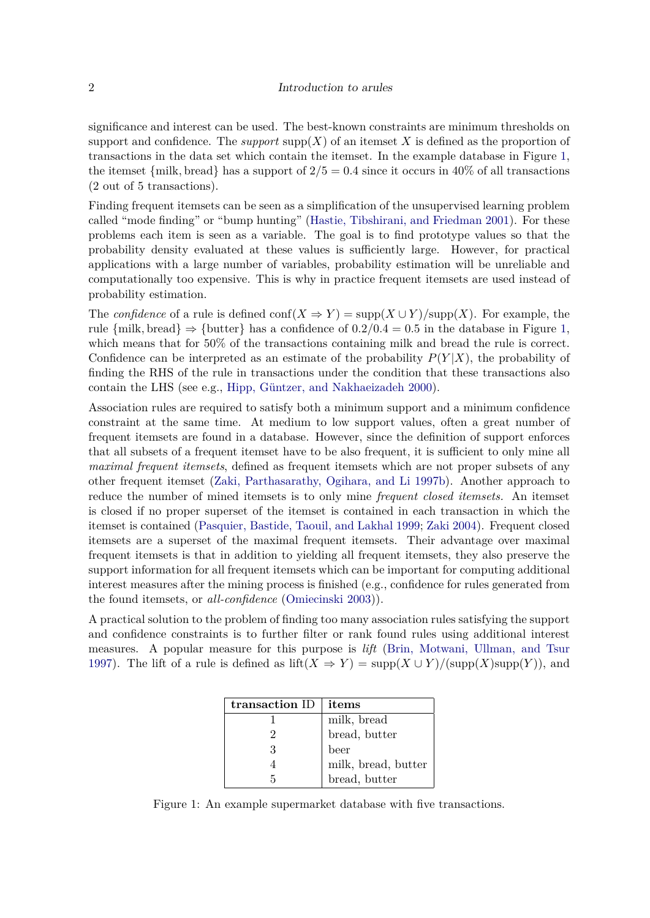#### 2 Introduction to arules

significance and interest can be used. The best-known constraints are minimum thresholds on support and confidence. The *support* supp $(X)$  of an itemset X is defined as the proportion of transactions in the data set which contain the itemset. In the example database in Figure [1,](#page-1-0) the itemset  $\{\text{milk}, \text{bread}\}\$  has a support of  $2/5 = 0.4$  since it occurs in 40% of all transactions (2 out of 5 transactions).

Finding frequent itemsets can be seen as a simplification of the unsupervised learning problem called "mode finding" or "bump hunting" [\(Hastie, Tibshirani, and Friedman 2001\)](#page-36-1). For these problems each item is seen as a variable. The goal is to find prototype values so that the probability density evaluated at these values is sufficiently large. However, for practical applications with a large number of variables, probability estimation will be unreliable and computationally too expensive. This is why in practice frequent itemsets are used instead of probability estimation.

The *confidence* of a rule is defined conf $(X \Rightarrow Y) = \text{supp}(X \cup Y)/\text{supp}(X)$ . For example, the rule  $\{\text{milk}, \text{bread}\} \Rightarrow \{\text{butter}\}\$ has a confidence of  $0.2/0.4 = 0.5$  in the database in Figure [1,](#page-1-0) which means that for 50% of the transactions containing milk and bread the rule is correct. Confidence can be interpreted as an estimate of the probability  $P(Y|X)$ , the probability of finding the RHS of the rule in transactions under the condition that these transactions also contain the LHS (see e.g., [Hipp, Güntzer, and Nakhaeizadeh 2000\)](#page-36-2).

Association rules are required to satisfy both a minimum support and a minimum confidence constraint at the same time. At medium to low support values, often a great number of frequent itemsets are found in a database. However, since the definition of support enforces that all subsets of a frequent itemset have to be also frequent, it is sufficient to only mine all *maximal frequent itemsets*, defined as frequent itemsets which are not proper subsets of any other frequent itemset [\(Zaki, Parthasarathy, Ogihara, and Li 1997b\)](#page-37-0). Another approach to reduce the number of mined itemsets is to only mine *frequent closed itemsets.* An itemset is closed if no proper superset of the itemset is contained in each transaction in which the itemset is contained [\(Pasquier, Bastide, Taouil, and Lakhal 1999;](#page-36-3) [Zaki 2004\)](#page-37-1). Frequent closed itemsets are a superset of the maximal frequent itemsets. Their advantage over maximal frequent itemsets is that in addition to yielding all frequent itemsets, they also preserve the support information for all frequent itemsets which can be important for computing additional interest measures after the mining process is finished (e.g., confidence for rules generated from the found itemsets, or *all-confidence* [\(Omiecinski 2003\)](#page-36-4)).

A practical solution to the problem of finding too many association rules satisfying the support and confidence constraints is to further filter or rank found rules using additional interest measures. A popular measure for this purpose is *lift* [\(Brin, Motwani, Ullman, and Tsur](#page-35-0) [1997\)](#page-35-0). The lift of a rule is defined as  $\text{lift}(X \Rightarrow Y) = \text{supp}(X \cup Y)/(\text{supp}(X)\text{supp}(Y))$ , and

| transaction ID | items               |
|----------------|---------------------|
|                | milk, bread         |
|                | bread, butter       |
| З              | beer                |
|                | milk, bread, butter |
|                | bread, butter       |

<span id="page-1-0"></span>Figure 1: An example supermarket database with five transactions.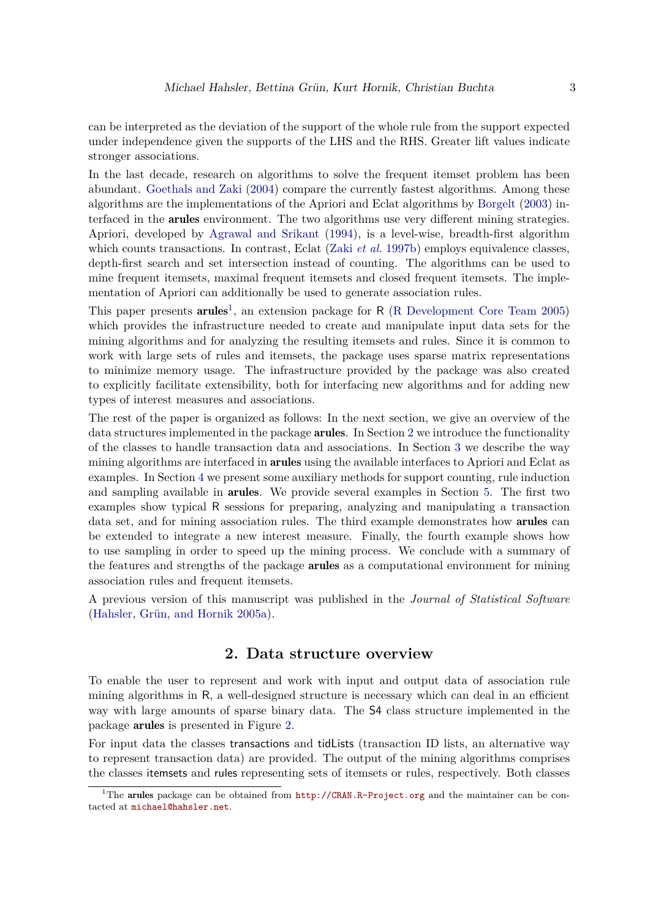can be interpreted as the deviation of the support of the whole rule from the support expected under independence given the supports of the LHS and the RHS. Greater lift values indicate stronger associations.

In the last decade, research on algorithms to solve the frequent itemset problem has been abundant. [Goethals and Zaki](#page-35-1) [\(2004\)](#page-35-1) compare the currently fastest algorithms. Among these algorithms are the implementations of the Apriori and Eclat algorithms by [Borgelt](#page-35-2) [\(2003\)](#page-35-2) interfaced in the arules environment. The two algorithms use very different mining strategies. Apriori, developed by [Agrawal and Srikant](#page-34-1) [\(1994\)](#page-34-1), is a level-wise, breadth-first algorithm which counts transactions. In contrast, Eclat (Zaki *[et al.](#page-37-0)* [1997b\)](#page-37-0) employs equivalence classes, depth-first search and set intersection instead of counting. The algorithms can be used to mine frequent itemsets, maximal frequent itemsets and closed frequent itemsets. The implementation of Apriori can additionally be used to generate association rules.

This paper presents  $arules^1$  $arules^1$ , an extension package for R [\(R Development Core Team 2005\)](#page-36-5) which provides the infrastructure needed to create and manipulate input data sets for the mining algorithms and for analyzing the resulting itemsets and rules. Since it is common to work with large sets of rules and itemsets, the package uses sparse matrix representations to minimize memory usage. The infrastructure provided by the package was also created to explicitly facilitate extensibility, both for interfacing new algorithms and for adding new types of interest measures and associations.

The rest of the paper is organized as follows: In the next section, we give an overview of the data structures implemented in the package arules. In Section [2](#page-2-1) we introduce the functionality of the classes to handle transaction data and associations. In Section [3](#page-9-0) we describe the way mining algorithms are interfaced in arules using the available interfaces to Apriori and Eclat as examples. In Section [4](#page-10-0) we present some auxiliary methods for support counting, rule induction and sampling available in arules. We provide several examples in Section [5.](#page-15-0) The first two examples show typical R sessions for preparing, analyzing and manipulating a transaction data set, and for mining association rules. The third example demonstrates how arules can be extended to integrate a new interest measure. Finally, the fourth example shows how to use sampling in order to speed up the mining process. We conclude with a summary of the features and strengths of the package arules as a computational environment for mining association rules and frequent itemsets.

A previous version of this manuscript was published in the *Journal of Statistical Software* [\(Hahsler, Grün, and Hornik 2005a\)](#page-35-3).

## **2. Data structure overview**

<span id="page-2-1"></span>To enable the user to represent and work with input and output data of association rule mining algorithms in R, a well-designed structure is necessary which can deal in an efficient way with large amounts of sparse binary data. The S4 class structure implemented in the package arules is presented in Figure [2.](#page-3-0)

For input data the classes transactions and tidLists (transaction ID lists, an alternative way to represent transaction data) are provided. The output of the mining algorithms comprises the classes itemsets and rules representing sets of itemsets or rules, respectively. Both classes

<span id="page-2-0"></span><sup>&</sup>lt;sup>1</sup>The arules package can be obtained from  $http://CRAN.R-Project.org$  and the maintainer can be contacted at <michael@hahsler.net>.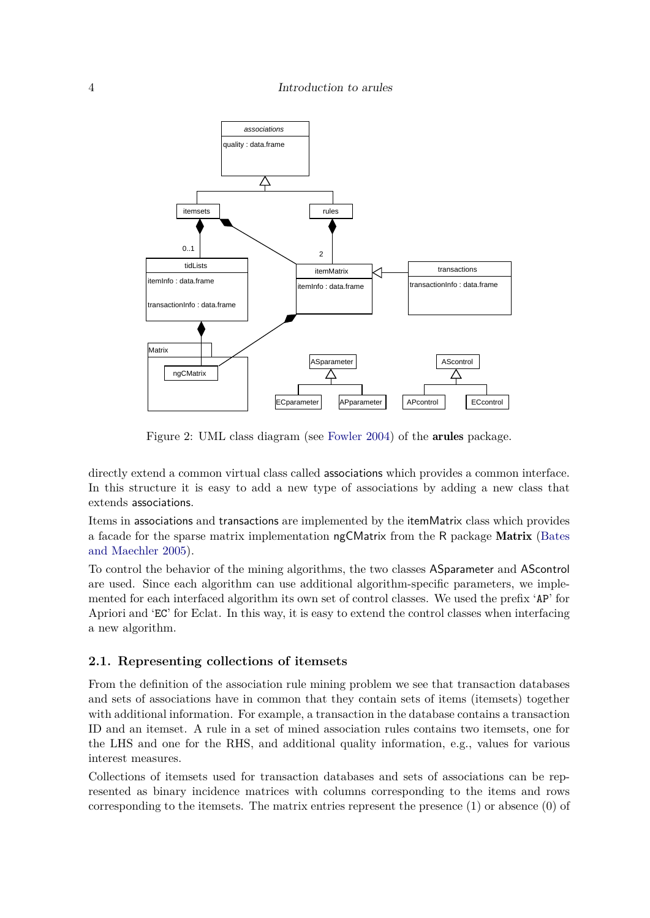

<span id="page-3-0"></span>Figure 2: UML class diagram (see [Fowler 2004\)](#page-35-4) of the arules package.

directly extend a common virtual class called associations which provides a common interface. In this structure it is easy to add a new type of associations by adding a new class that extends associations.

Items in associations and transactions are implemented by the itemMatrix class which provides a facade for the sparse matrix implementation ngCMatrix from the R package Matrix [\(Bates](#page-35-5) [and Maechler 2005\)](#page-35-5).

To control the behavior of the mining algorithms, the two classes ASparameter and AScontrol are used. Since each algorithm can use additional algorithm-specific parameters, we implemented for each interfaced algorithm its own set of control classes. We used the prefix 'AP' for Apriori and 'EC' for Eclat. In this way, it is easy to extend the control classes when interfacing a new algorithm.

# **2.1. Representing collections of itemsets**

From the definition of the association rule mining problem we see that transaction databases and sets of associations have in common that they contain sets of items (itemsets) together with additional information. For example, a transaction in the database contains a transaction ID and an itemset. A rule in a set of mined association rules contains two itemsets, one for the LHS and one for the RHS, and additional quality information, e.g., values for various interest measures.

Collections of itemsets used for transaction databases and sets of associations can be represented as binary incidence matrices with columns corresponding to the items and rows corresponding to the itemsets. The matrix entries represent the presence (1) or absence (0) of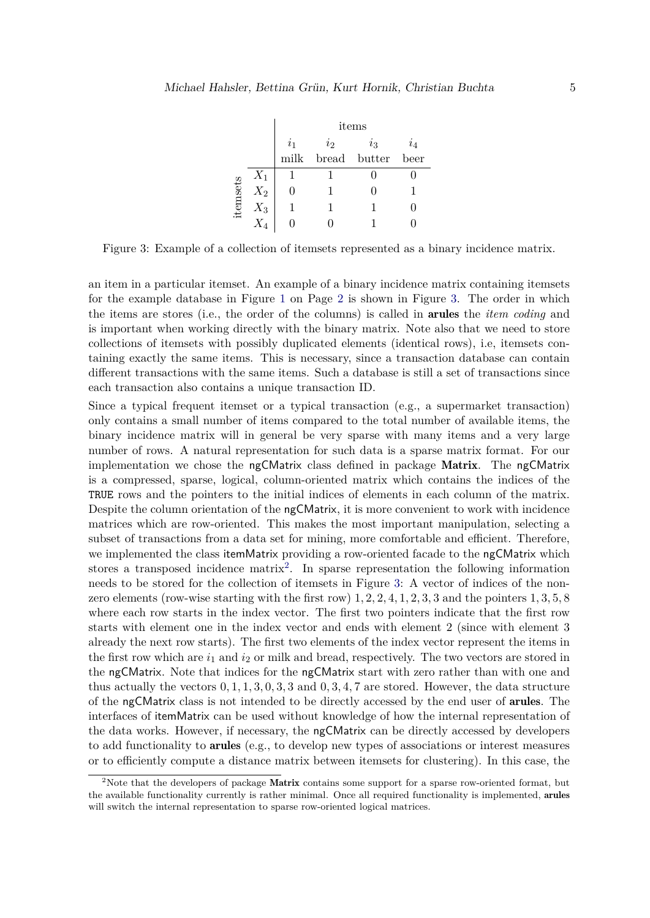|          |       | items       |                |              |       |  |
|----------|-------|-------------|----------------|--------------|-------|--|
|          |       | $\dot{i}_1$ | $\overline{i}$ | $i_{3}$      | $i_4$ |  |
|          |       | milk        |                | bread butter | beer  |  |
|          | $X_1$ |             |                |              |       |  |
|          | $X_2$ |             |                |              |       |  |
| itemsets | $X_3$ |             |                |              |       |  |
|          |       |             |                |              |       |  |

<span id="page-4-0"></span>Figure 3: Example of a collection of itemsets represented as a binary incidence matrix.

an item in a particular itemset. An example of a binary incidence matrix containing itemsets for the example database in Figure [1](#page-1-0) on Page [2](#page-1-0) is shown in Figure [3.](#page-4-0) The order in which the items are stores (i.e., the order of the columns) is called in arules the *item coding* and is important when working directly with the binary matrix. Note also that we need to store collections of itemsets with possibly duplicated elements (identical rows), i.e, itemsets containing exactly the same items. This is necessary, since a transaction database can contain different transactions with the same items. Such a database is still a set of transactions since each transaction also contains a unique transaction ID.

Since a typical frequent itemset or a typical transaction (e.g., a supermarket transaction) only contains a small number of items compared to the total number of available items, the binary incidence matrix will in general be very sparse with many items and a very large number of rows. A natural representation for such data is a sparse matrix format. For our implementation we chose the ngCMatrix class defined in package Matrix. The ngCMatrix is a compressed, sparse, logical, column-oriented matrix which contains the indices of the TRUE rows and the pointers to the initial indices of elements in each column of the matrix. Despite the column orientation of the ngCMatrix, it is more convenient to work with incidence matrices which are row-oriented. This makes the most important manipulation, selecting a subset of transactions from a data set for mining, more comfortable and efficient. Therefore, we implemented the class itemMatrix providing a row-oriented facade to the ngCMatrix which stores a transposed incidence matrix<sup>[2](#page-4-1)</sup>. In sparse representation the following information needs to be stored for the collection of itemsets in Figure [3:](#page-4-0) A vector of indices of the nonzero elements (row-wise starting with the first row) 1*,* 2*,* 2*,* 4*,* 1*,* 2*,* 3*,* 3 and the pointers 1*,* 3*,* 5*,* 8 where each row starts in the index vector. The first two pointers indicate that the first row starts with element one in the index vector and ends with element 2 (since with element 3 already the next row starts). The first two elements of the index vector represent the items in the first row which are  $i_1$  and  $i_2$  or milk and bread, respectively. The two vectors are stored in the ngCMatrix. Note that indices for the ngCMatrix start with zero rather than with one and thus actually the vectors 0*,* 1*,* 1*,* 3*,* 0*,* 3*,* 3 and 0*,* 3*,* 4*,* 7 are stored. However, the data structure of the ngCMatrix class is not intended to be directly accessed by the end user of arules. The interfaces of itemMatrix can be used without knowledge of how the internal representation of the data works. However, if necessary, the ngCMatrix can be directly accessed by developers to add functionality to arules (e.g., to develop new types of associations or interest measures or to efficiently compute a distance matrix between itemsets for clustering). In this case, the

<span id="page-4-1"></span><sup>&</sup>lt;sup>2</sup>Note that the developers of package Matrix contains some support for a sparse row-oriented format, but the available functionality currently is rather minimal. Once all required functionality is implemented, arules will switch the internal representation to sparse row-oriented logical matrices.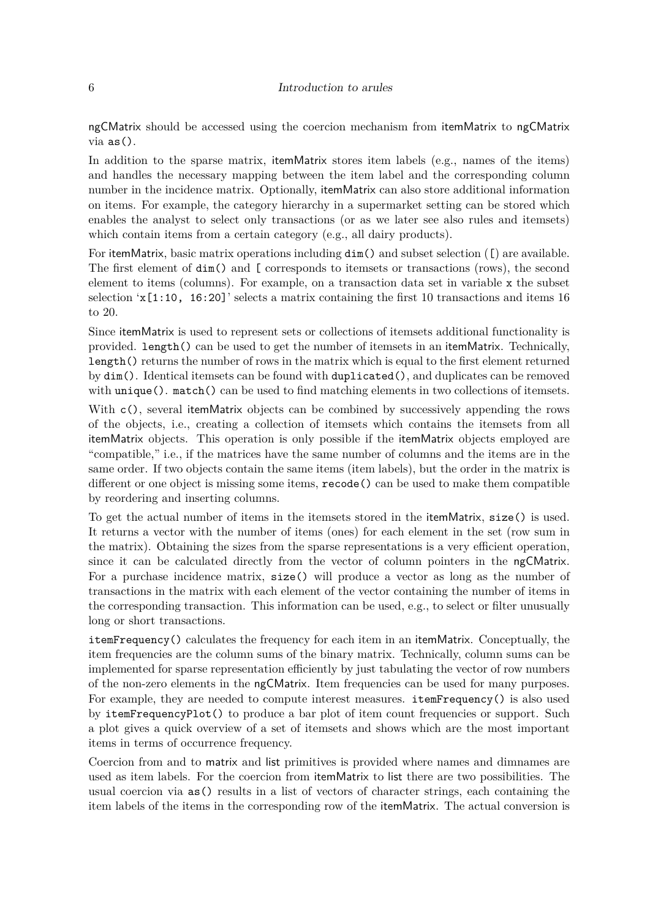#### 6 Introduction to arules

ngCMatrix should be accessed using the coercion mechanism from itemMatrix to ngCMatrix via as().

In addition to the sparse matrix, itemMatrix stores item labels (e.g., names of the items) and handles the necessary mapping between the item label and the corresponding column number in the incidence matrix. Optionally, itemMatrix can also store additional information on items. For example, the category hierarchy in a supermarket setting can be stored which enables the analyst to select only transactions (or as we later see also rules and itemsets) which contain items from a certain category (e.g., all dairy products).

For itemMatrix, basic matrix operations including dim() and subset selection ([) are available. The first element of dim() and [ corresponds to itemsets or transactions (rows), the second element to items (columns). For example, on a transaction data set in variable x the subset selection  $x[1:10, 16:20]$ ' selects a matrix containing the first 10 transactions and items 16 to 20.

Since itemMatrix is used to represent sets or collections of itemsets additional functionality is provided. length() can be used to get the number of itemsets in an itemMatrix. Technically, length() returns the number of rows in the matrix which is equal to the first element returned by dim(). Identical itemsets can be found with duplicated(), and duplicates can be removed with unique(). match() can be used to find matching elements in two collections of itemsets.

With c(), several itemMatrix objects can be combined by successively appending the rows of the objects, i.e., creating a collection of itemsets which contains the itemsets from all itemMatrix objects. This operation is only possible if the itemMatrix objects employed are "compatible," i.e., if the matrices have the same number of columns and the items are in the same order. If two objects contain the same items (item labels), but the order in the matrix is different or one object is missing some items, recode() can be used to make them compatible by reordering and inserting columns.

To get the actual number of items in the itemsets stored in the itemMatrix, size() is used. It returns a vector with the number of items (ones) for each element in the set (row sum in the matrix). Obtaining the sizes from the sparse representations is a very efficient operation, since it can be calculated directly from the vector of column pointers in the ngCMatrix. For a purchase incidence matrix, size() will produce a vector as long as the number of transactions in the matrix with each element of the vector containing the number of items in the corresponding transaction. This information can be used, e.g., to select or filter unusually long or short transactions.

itemFrequency() calculates the frequency for each item in an itemMatrix. Conceptually, the item frequencies are the column sums of the binary matrix. Technically, column sums can be implemented for sparse representation efficiently by just tabulating the vector of row numbers of the non-zero elements in the ngCMatrix. Item frequencies can be used for many purposes. For example, they are needed to compute interest measures. itemFrequency() is also used by itemFrequencyPlot() to produce a bar plot of item count frequencies or support. Such a plot gives a quick overview of a set of itemsets and shows which are the most important items in terms of occurrence frequency.

Coercion from and to matrix and list primitives is provided where names and dimnames are used as item labels. For the coercion from itemMatrix to list there are two possibilities. The usual coercion via as() results in a list of vectors of character strings, each containing the item labels of the items in the corresponding row of the itemMatrix. The actual conversion is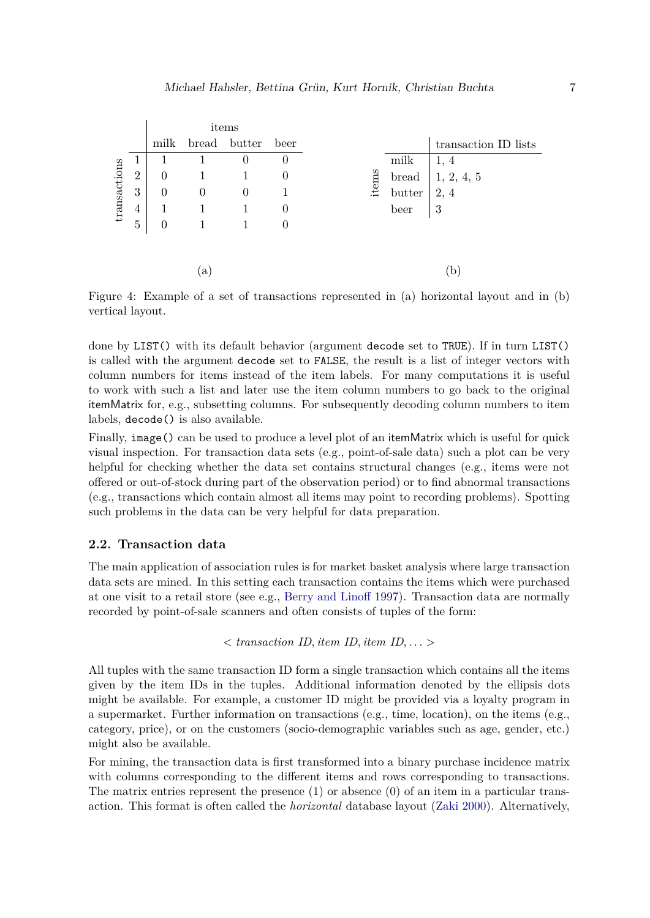|              |                |          |                | items        |          |       |        |                      |
|--------------|----------------|----------|----------------|--------------|----------|-------|--------|----------------------|
|              |                | milk     |                | bread butter | beer     |       |        | transaction ID lists |
|              | $\perp$        |          |                | 0            | $\theta$ |       | milk   | 1, 4                 |
| transactions | $\overline{2}$ | $\theta$ |                |              | $\theta$ | items | bread  | 1, 2, 4, 5           |
|              | 3              | 0        | $\overline{0}$ | $\theta$     |          |       | butter | 2, 4                 |
|              | $\overline{4}$ |          |                |              | $\theta$ |       | beer   | 3                    |
|              | 5              | 0        |                |              | 0        |       |        |                      |
|              |                |          |                |              |          |       |        |                      |
|              |                |          |                |              |          |       |        |                      |
|              |                |          | $\mathbf{a}$   |              |          |       |        | b                    |

<span id="page-6-0"></span>Figure 4: Example of a set of transactions represented in (a) horizontal layout and in (b) vertical layout.

done by LIST() with its default behavior (argument decode set to TRUE). If in turn LIST() is called with the argument decode set to FALSE, the result is a list of integer vectors with column numbers for items instead of the item labels. For many computations it is useful to work with such a list and later use the item column numbers to go back to the original itemMatrix for, e.g., subsetting columns. For subsequently decoding column numbers to item labels, decode() is also available.

Finally, image() can be used to produce a level plot of an itemMatrix which is useful for quick visual inspection. For transaction data sets (e.g., point-of-sale data) such a plot can be very helpful for checking whether the data set contains structural changes (e.g., items were not offered or out-of-stock during part of the observation period) or to find abnormal transactions (e.g., transactions which contain almost all items may point to recording problems). Spotting such problems in the data can be very helpful for data preparation.

#### **2.2. Transaction data**

The main application of association rules is for market basket analysis where large transaction data sets are mined. In this setting each transaction contains the items which were purchased at one visit to a retail store (see e.g., [Berry and Linoff 1997\)](#page-35-6). Transaction data are normally recorded by point-of-sale scanners and often consists of tuples of the form:

*< transaction ID, item ID, item ID, . . . >*

All tuples with the same transaction ID form a single transaction which contains all the items given by the item IDs in the tuples. Additional information denoted by the ellipsis dots might be available. For example, a customer ID might be provided via a loyalty program in a supermarket. Further information on transactions (e.g., time, location), on the items (e.g., category, price), or on the customers (socio-demographic variables such as age, gender, etc.) might also be available.

For mining, the transaction data is first transformed into a binary purchase incidence matrix with columns corresponding to the different items and rows corresponding to transactions. The matrix entries represent the presence  $(1)$  or absence  $(0)$  of an item in a particular transaction. This format is often called the *horizontal* database layout [\(Zaki 2000\)](#page-37-2). Alternatively,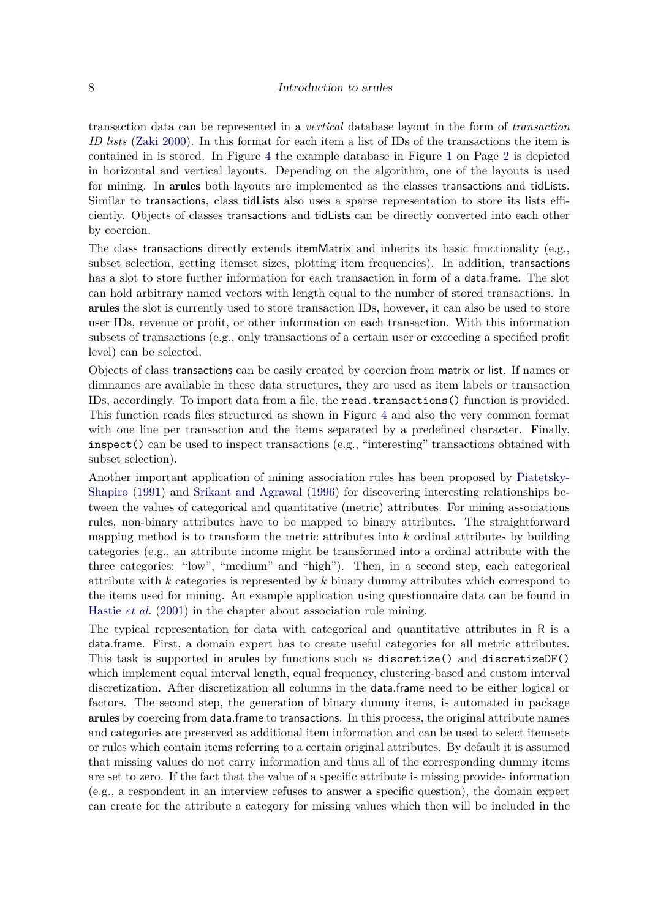transaction data can be represented in a *vertical* database layout in the form of *transaction ID lists* [\(Zaki 2000\)](#page-37-2). In this format for each item a list of IDs of the transactions the item is contained in is stored. In Figure [4](#page-6-0) the example database in Figure [1](#page-1-0) on Page [2](#page-1-0) is depicted in horizontal and vertical layouts. Depending on the algorithm, one of the layouts is used for mining. In arules both layouts are implemented as the classes transactions and tidLists. Similar to transactions, class tidLists also uses a sparse representation to store its lists efficiently. Objects of classes transactions and tidLists can be directly converted into each other by coercion.

The class transactions directly extends itemMatrix and inherits its basic functionality (e.g., subset selection, getting itemset sizes, plotting item frequencies). In addition, transactions has a slot to store further information for each transaction in form of a data.frame. The slot can hold arbitrary named vectors with length equal to the number of stored transactions. In arules the slot is currently used to store transaction IDs, however, it can also be used to store user IDs, revenue or profit, or other information on each transaction. With this information subsets of transactions (e.g., only transactions of a certain user or exceeding a specified profit level) can be selected.

Objects of class transactions can be easily created by coercion from matrix or list. If names or dimnames are available in these data structures, they are used as item labels or transaction IDs, accordingly. To import data from a file, the read.transactions() function is provided. This function reads files structured as shown in Figure [4](#page-6-0) and also the very common format with one line per transaction and the items separated by a predefined character. Finally, inspect() can be used to inspect transactions (e.g., "interesting" transactions obtained with subset selection).

Another important application of mining association rules has been proposed by [Piatetsky-](#page-36-0)[Shapiro](#page-36-0) [\(1991\)](#page-36-0) and [Srikant and Agrawal](#page-37-3) [\(1996\)](#page-37-3) for discovering interesting relationships between the values of categorical and quantitative (metric) attributes. For mining associations rules, non-binary attributes have to be mapped to binary attributes. The straightforward mapping method is to transform the metric attributes into *k* ordinal attributes by building categories (e.g., an attribute income might be transformed into a ordinal attribute with the three categories: "low", "medium" and "high"). Then, in a second step, each categorical attribute with *k* categories is represented by *k* binary dummy attributes which correspond to the items used for mining. An example application using questionnaire data can be found in [Hastie](#page-36-1) *et al.* [\(2001\)](#page-36-1) in the chapter about association rule mining.

The typical representation for data with categorical and quantitative attributes in R is a data.frame. First, a domain expert has to create useful categories for all metric attributes. This task is supported in arules by functions such as discretize() and discretizeDF() which implement equal interval length, equal frequency, clustering-based and custom interval discretization. After discretization all columns in the data.frame need to be either logical or factors. The second step, the generation of binary dummy items, is automated in package arules by coercing from data.frame to transactions. In this process, the original attribute names and categories are preserved as additional item information and can be used to select itemsets or rules which contain items referring to a certain original attributes. By default it is assumed that missing values do not carry information and thus all of the corresponding dummy items are set to zero. If the fact that the value of a specific attribute is missing provides information (e.g., a respondent in an interview refuses to answer a specific question), the domain expert can create for the attribute a category for missing values which then will be included in the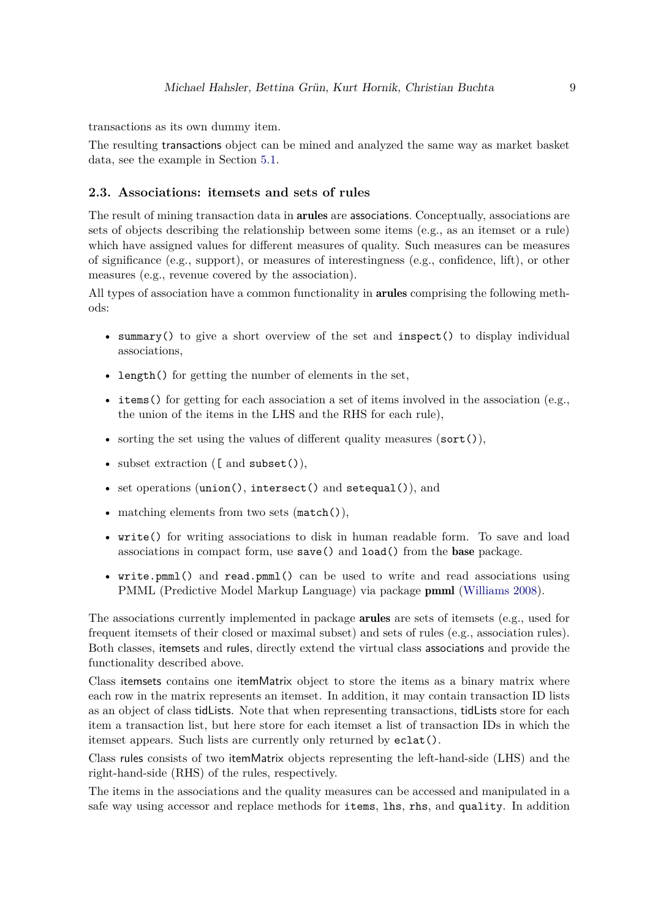transactions as its own dummy item.

The resulting transactions object can be mined and analyzed the same way as market basket data, see the example in Section [5.1.](#page-15-1)

#### **2.3. Associations: itemsets and sets of rules**

The result of mining transaction data in arules are associations. Conceptually, associations are sets of objects describing the relationship between some items (e.g., as an itemset or a rule) which have assigned values for different measures of quality. Such measures can be measures of significance (e.g., support), or measures of interestingness (e.g., confidence, lift), or other measures (e.g., revenue covered by the association).

All types of association have a common functionality in **arules** comprising the following methods:

- summary() to give a short overview of the set and inspect() to display individual associations,
- length() for getting the number of elements in the set,
- items () for getting for each association a set of items involved in the association (e.g., the union of the items in the LHS and the RHS for each rule),
- sorting the set using the values of different quality measures (sort()),
- subset extraction ([ and subset()),
- set operations (union(), intersect() and setequal()), and
- matching elements from two sets (match()),
- write() for writing associations to disk in human readable form. To save and load associations in compact form, use save() and load() from the base package.
- write.pmml() and read.pmml() can be used to write and read associations using PMML (Predictive Model Markup Language) via package pmml [\(Williams 2008\)](#page-37-4).

The associations currently implemented in package **arules** are sets of itemsets (e.g., used for frequent itemsets of their closed or maximal subset) and sets of rules (e.g., association rules). Both classes, itemsets and rules, directly extend the virtual class associations and provide the functionality described above.

Class itemsets contains one itemMatrix object to store the items as a binary matrix where each row in the matrix represents an itemset. In addition, it may contain transaction ID lists as an object of class tidLists. Note that when representing transactions, tidLists store for each item a transaction list, but here store for each itemset a list of transaction IDs in which the itemset appears. Such lists are currently only returned by eclat().

Class rules consists of two itemMatrix objects representing the left-hand-side (LHS) and the right-hand-side (RHS) of the rules, respectively.

The items in the associations and the quality measures can be accessed and manipulated in a safe way using accessor and replace methods for items, lhs, rhs, and quality. In addition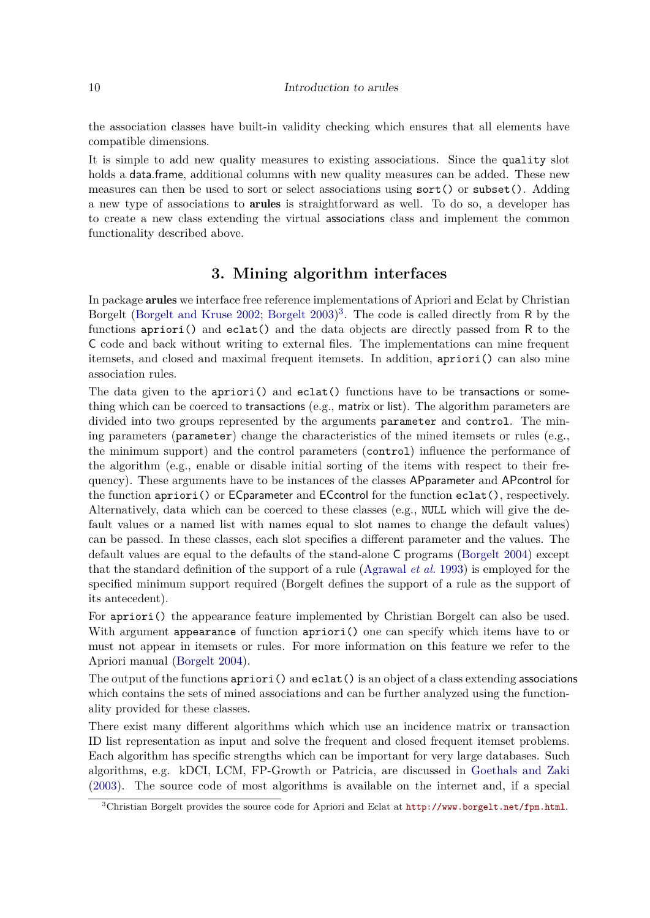#### 10 Introduction to arules

the association classes have built-in validity checking which ensures that all elements have compatible dimensions.

It is simple to add new quality measures to existing associations. Since the quality slot holds a data.frame, additional columns with new quality measures can be added. These new measures can then be used to sort or select associations using sort() or subset(). Adding a new type of associations to arules is straightforward as well. To do so, a developer has to create a new class extending the virtual associations class and implement the common functionality described above.

# **3. Mining algorithm interfaces**

<span id="page-9-0"></span>In package arules we interface free reference implementations of Apriori and Eclat by Christian Borgelt [\(Borgelt and Kruse 2002;](#page-35-7) [Borgelt 2003\)](#page-35-2) [3](#page-9-1) . The code is called directly from R by the functions  $\text{apriori}()$  and  $\text{eclat}()$  and the data objects are directly passed from R to the C code and back without writing to external files. The implementations can mine frequent itemsets, and closed and maximal frequent itemsets. In addition, apriori() can also mine association rules.

The data given to the apriori() and eclat() functions have to be transactions or something which can be coerced to transactions (e.g., matrix or list). The algorithm parameters are divided into two groups represented by the arguments parameter and control. The mining parameters (parameter) change the characteristics of the mined itemsets or rules (e.g., the minimum support) and the control parameters (control) influence the performance of the algorithm (e.g., enable or disable initial sorting of the items with respect to their frequency). These arguments have to be instances of the classes APparameter and APcontrol for the function apriori() or ECparameter and ECcontrol for the function eclat(), respectively. Alternatively, data which can be coerced to these classes (e.g., NULL which will give the default values or a named list with names equal to slot names to change the default values) can be passed. In these classes, each slot specifies a different parameter and the values. The default values are equal to the defaults of the stand-alone C programs [\(Borgelt 2004\)](#page-35-8) except that the standard definition of the support of a rule [\(Agrawal](#page-34-0) *et al.* [1993\)](#page-34-0) is employed for the specified minimum support required (Borgelt defines the support of a rule as the support of its antecedent).

For apriori() the appearance feature implemented by Christian Borgelt can also be used. With argument appearance of function apriori() one can specify which items have to or must not appear in itemsets or rules. For more information on this feature we refer to the Apriori manual [\(Borgelt 2004\)](#page-35-8).

The output of the functions apriori() and eclat() is an object of a class extending associations which contains the sets of mined associations and can be further analyzed using the functionality provided for these classes.

There exist many different algorithms which which use an incidence matrix or transaction ID list representation as input and solve the frequent and closed frequent itemset problems. Each algorithm has specific strengths which can be important for very large databases. Such algorithms, e.g. kDCI, LCM, FP-Growth or Patricia, are discussed in [Goethals and Zaki](#page-35-9) [\(2003\)](#page-35-9). The source code of most algorithms is available on the internet and, if a special

<span id="page-9-1"></span><sup>3</sup>Christian Borgelt provides the source code for Apriori and Eclat at <http://www.borgelt.net/fpm.html>.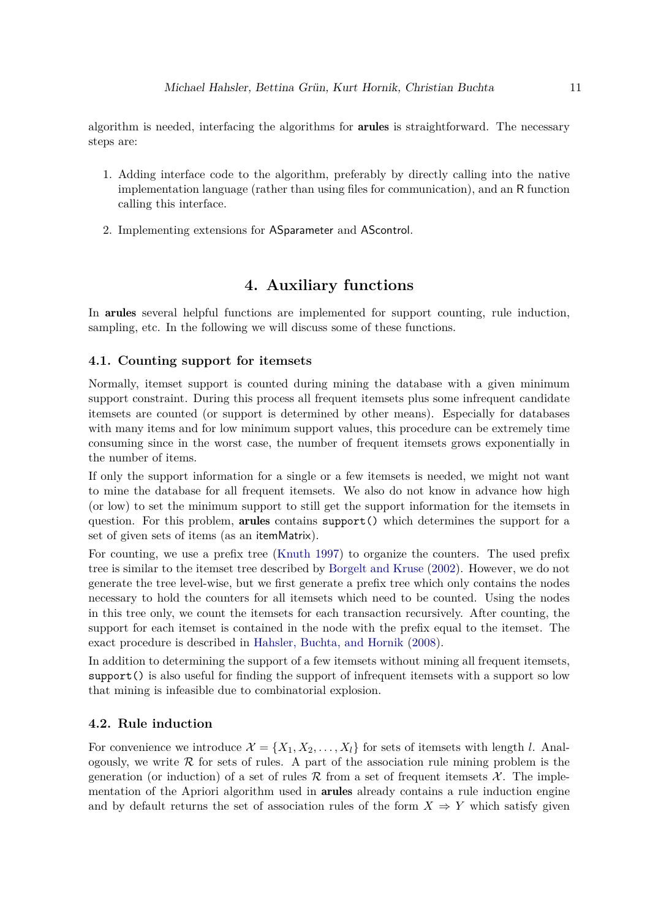algorithm is needed, interfacing the algorithms for **arules** is straightforward. The necessary steps are:

- 1. Adding interface code to the algorithm, preferably by directly calling into the native implementation language (rather than using files for communication), and an R function calling this interface.
- 2. Implementing extensions for ASparameter and AScontrol.

# **4. Auxiliary functions**

<span id="page-10-0"></span>In arules several helpful functions are implemented for support counting, rule induction, sampling, etc. In the following we will discuss some of these functions.

#### <span id="page-10-1"></span>**4.1. Counting support for itemsets**

Normally, itemset support is counted during mining the database with a given minimum support constraint. During this process all frequent itemsets plus some infrequent candidate itemsets are counted (or support is determined by other means). Especially for databases with many items and for low minimum support values, this procedure can be extremely time consuming since in the worst case, the number of frequent itemsets grows exponentially in the number of items.

If only the support information for a single or a few itemsets is needed, we might not want to mine the database for all frequent itemsets. We also do not know in advance how high (or low) to set the minimum support to still get the support information for the itemsets in question. For this problem, arules contains support() which determines the support for a set of given sets of items (as an itemMatrix).

For counting, we use a prefix tree [\(Knuth 1997\)](#page-36-6) to organize the counters. The used prefix tree is similar to the itemset tree described by [Borgelt and Kruse](#page-35-7) [\(2002\)](#page-35-7). However, we do not generate the tree level-wise, but we first generate a prefix tree which only contains the nodes necessary to hold the counters for all itemsets which need to be counted. Using the nodes in this tree only, we count the itemsets for each transaction recursively. After counting, the support for each itemset is contained in the node with the prefix equal to the itemset. The exact procedure is described in [Hahsler, Buchta, and Hornik](#page-35-10) [\(2008\)](#page-35-10).

In addition to determining the support of a few itemsets without mining all frequent itemsets, support() is also useful for finding the support of infrequent itemsets with a support so low that mining is infeasible due to combinatorial explosion.

## **4.2. Rule induction**

For convenience we introduce  $\mathcal{X} = \{X_1, X_2, \ldots, X_l\}$  for sets of itemsets with length *l*. Analogously, we write  $R$  for sets of rules. A part of the association rule mining problem is the generation (or induction) of a set of rules R from a set of frequent itemsets  $\mathcal{X}$ . The implementation of the Apriori algorithm used in arules already contains a rule induction engine and by default returns the set of association rules of the form  $X \Rightarrow Y$  which satisfy given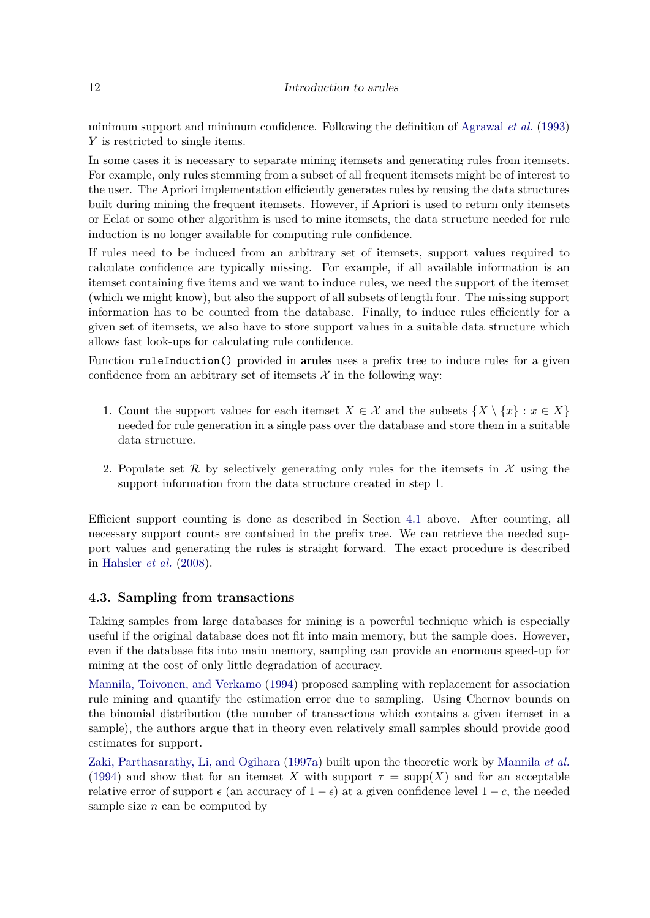#### 12 Introduction to arules

minimum support and minimum confidence. Following the definition of [Agrawal](#page-34-0) *et al.* [\(1993\)](#page-34-0) *Y* is restricted to single items.

In some cases it is necessary to separate mining itemsets and generating rules from itemsets. For example, only rules stemming from a subset of all frequent itemsets might be of interest to the user. The Apriori implementation efficiently generates rules by reusing the data structures built during mining the frequent itemsets. However, if Apriori is used to return only itemsets or Eclat or some other algorithm is used to mine itemsets, the data structure needed for rule induction is no longer available for computing rule confidence.

If rules need to be induced from an arbitrary set of itemsets, support values required to calculate confidence are typically missing. For example, if all available information is an itemset containing five items and we want to induce rules, we need the support of the itemset (which we might know), but also the support of all subsets of length four. The missing support information has to be counted from the database. Finally, to induce rules efficiently for a given set of itemsets, we also have to store support values in a suitable data structure which allows fast look-ups for calculating rule confidence.

Function ruleInduction() provided in arules uses a prefix tree to induce rules for a given confidence from an arbitrary set of itemsets  $\mathcal X$  in the following way:

- 1. Count the support values for each itemset  $X \in \mathcal{X}$  and the subsets  $\{X \setminus \{x\} : x \in X\}$ needed for rule generation in a single pass over the database and store them in a suitable data structure.
- 2. Populate set  $\mathcal R$  by selectively generating only rules for the itemsets in  $\mathcal X$  using the support information from the data structure created in step 1.

Efficient support counting is done as described in Section [4.1](#page-10-1) above. After counting, all necessary support counts are contained in the prefix tree. We can retrieve the needed support values and generating the rules is straight forward. The exact procedure is described in [Hahsler](#page-35-10) *et al.* [\(2008\)](#page-35-10).

### <span id="page-11-0"></span>**4.3. Sampling from transactions**

Taking samples from large databases for mining is a powerful technique which is especially useful if the original database does not fit into main memory, but the sample does. However, even if the database fits into main memory, sampling can provide an enormous speed-up for mining at the cost of only little degradation of accuracy.

[Mannila, Toivonen, and Verkamo](#page-36-7) [\(1994\)](#page-36-7) proposed sampling with replacement for association rule mining and quantify the estimation error due to sampling. Using Chernov bounds on the binomial distribution (the number of transactions which contains a given itemset in a sample), the authors argue that in theory even relatively small samples should provide good estimates for support.

[Zaki, Parthasarathy, Li, and Ogihara](#page-37-5) [\(1997a\)](#page-37-5) built upon the theoretic work by [Mannila](#page-36-7) *et al.* [\(1994\)](#page-36-7) and show that for an itemset *X* with support  $\tau = \text{supp}(X)$  and for an acceptable relative error of support  $\epsilon$  (an accuracy of  $1 - \epsilon$ ) at a given confidence level  $1 - c$ , the needed sample size *n* can be computed by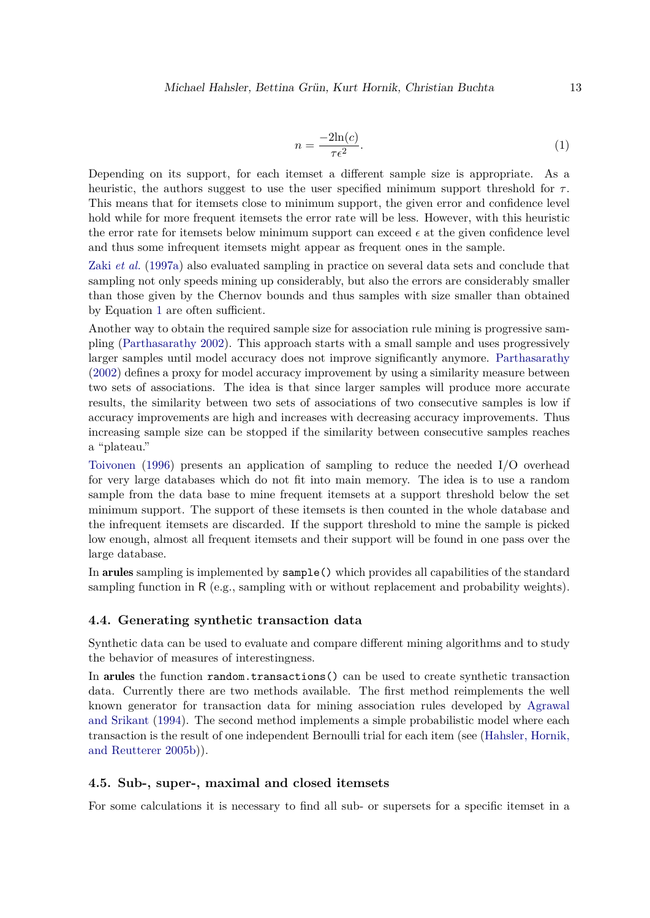<span id="page-12-0"></span>
$$
n = \frac{-2\ln(c)}{\tau \epsilon^2}.
$$
\n<sup>(1)</sup>

Depending on its support, for each itemset a different sample size is appropriate. As a heuristic, the authors suggest to use the user specified minimum support threshold for  $\tau$ . This means that for itemsets close to minimum support, the given error and confidence level hold while for more frequent itemsets the error rate will be less. However, with this heuristic the error rate for itemsets below minimum support can exceed  $\epsilon$  at the given confidence level and thus some infrequent itemsets might appear as frequent ones in the sample.

Zaki *[et al.](#page-37-5)* [\(1997a\)](#page-37-5) also evaluated sampling in practice on several data sets and conclude that sampling not only speeds mining up considerably, but also the errors are considerably smaller than those given by the Chernov bounds and thus samples with size smaller than obtained by Equation [1](#page-12-0) are often sufficient.

Another way to obtain the required sample size for association rule mining is progressive sampling [\(Parthasarathy 2002\)](#page-36-8). This approach starts with a small sample and uses progressively larger samples until model accuracy does not improve significantly anymore. [Parthasarathy](#page-36-8) [\(2002\)](#page-36-8) defines a proxy for model accuracy improvement by using a similarity measure between two sets of associations. The idea is that since larger samples will produce more accurate results, the similarity between two sets of associations of two consecutive samples is low if accuracy improvements are high and increases with decreasing accuracy improvements. Thus increasing sample size can be stopped if the similarity between consecutive samples reaches a "plateau."

[Toivonen](#page-37-6) [\(1996\)](#page-37-6) presents an application of sampling to reduce the needed I/O overhead for very large databases which do not fit into main memory. The idea is to use a random sample from the data base to mine frequent itemsets at a support threshold below the set minimum support. The support of these itemsets is then counted in the whole database and the infrequent itemsets are discarded. If the support threshold to mine the sample is picked low enough, almost all frequent itemsets and their support will be found in one pass over the large database.

In arules sampling is implemented by sample() which provides all capabilities of the standard sampling function in R (e.g., sampling with or without replacement and probability weights).

### **4.4. Generating synthetic transaction data**

Synthetic data can be used to evaluate and compare different mining algorithms and to study the behavior of measures of interestingness.

In arules the function random.transactions() can be used to create synthetic transaction data. Currently there are two methods available. The first method reimplements the well known generator for transaction data for mining association rules developed by [Agrawal](#page-34-1) [and Srikant](#page-34-1) [\(1994\)](#page-34-1). The second method implements a simple probabilistic model where each transaction is the result of one independent Bernoulli trial for each item (see [\(Hahsler, Hornik,](#page-36-9) [and Reutterer 2005b\)](#page-36-9)).

### **4.5. Sub-, super-, maximal and closed itemsets**

For some calculations it is necessary to find all sub- or supersets for a specific itemset in a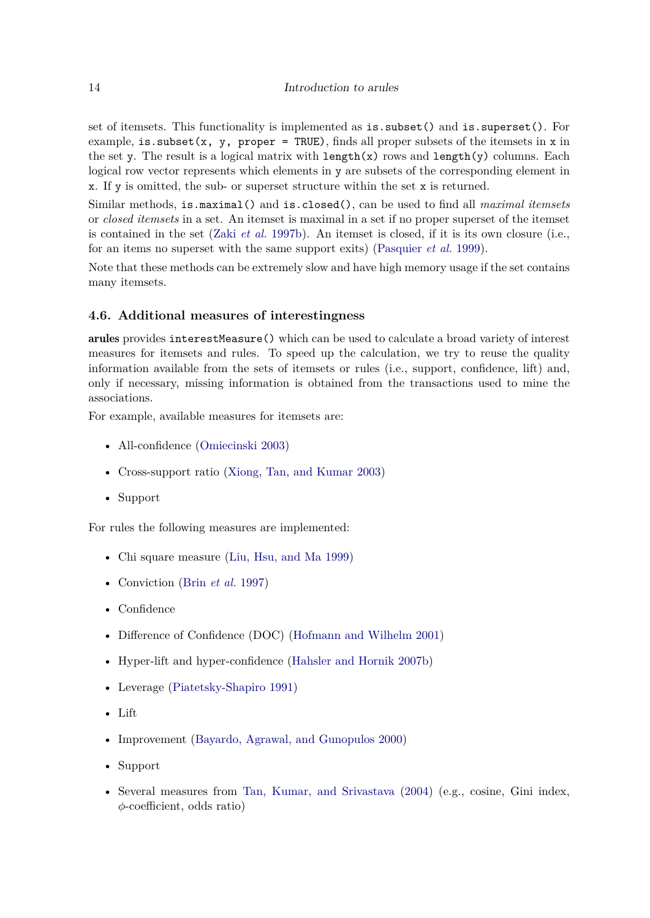set of itemsets. This functionality is implemented as is.subset() and is.superset(). For example, is. subset(x, y, proper = TRUE), finds all proper subsets of the itemsets in x in the set y. The result is a logical matrix with  $\text{length}(x)$  rows and  $\text{length}(y)$  columns. Each logical row vector represents which elements in y are subsets of the corresponding element in x. If y is omitted, the sub- or superset structure within the set x is returned.

Similar methods, is.maximal() and is.closed(), can be used to find all *maximal itemsets* or *closed itemsets* in a set. An itemset is maximal in a set if no proper superset of the itemset is contained in the set (Zaki *[et al.](#page-37-0)* [1997b\)](#page-37-0). An itemset is closed, if it is its own closure (i.e., for an items no superset with the same support exits) [\(Pasquier](#page-36-3) *et al.* [1999\)](#page-36-3).

Note that these methods can be extremely slow and have high memory usage if the set contains many itemsets.

## **4.6. Additional measures of interestingness**

arules provides interestMeasure() which can be used to calculate a broad variety of interest measures for itemsets and rules. To speed up the calculation, we try to reuse the quality information available from the sets of itemsets or rules (i.e., support, confidence, lift) and, only if necessary, missing information is obtained from the transactions used to mine the associations.

For example, available measures for itemsets are:

- All-confidence [\(Omiecinski 2003\)](#page-36-4)
- Cross-support ratio [\(Xiong, Tan, and Kumar 2003\)](#page-37-7)
- Support

For rules the following measures are implemented:

- Chi square measure [\(Liu, Hsu, and Ma 1999\)](#page-36-10)
- Conviction (Brin *[et al.](#page-35-0)* [1997\)](#page-35-0)
- Confidence
- Difference of Confidence (DOC) [\(Hofmann and Wilhelm 2001\)](#page-36-11)
- Hyper-lift and hyper-confidence [\(Hahsler and Hornik 2007b\)](#page-36-12)
- Leverage [\(Piatetsky-Shapiro 1991\)](#page-36-0)
- Lift
- Improvement [\(Bayardo, Agrawal, and Gunopulos 2000\)](#page-35-11)
- Support
- Several measures from [Tan, Kumar, and Srivastava](#page-37-8) [\(2004\)](#page-37-8) (e.g., cosine, Gini index, *φ*-coefficient, odds ratio)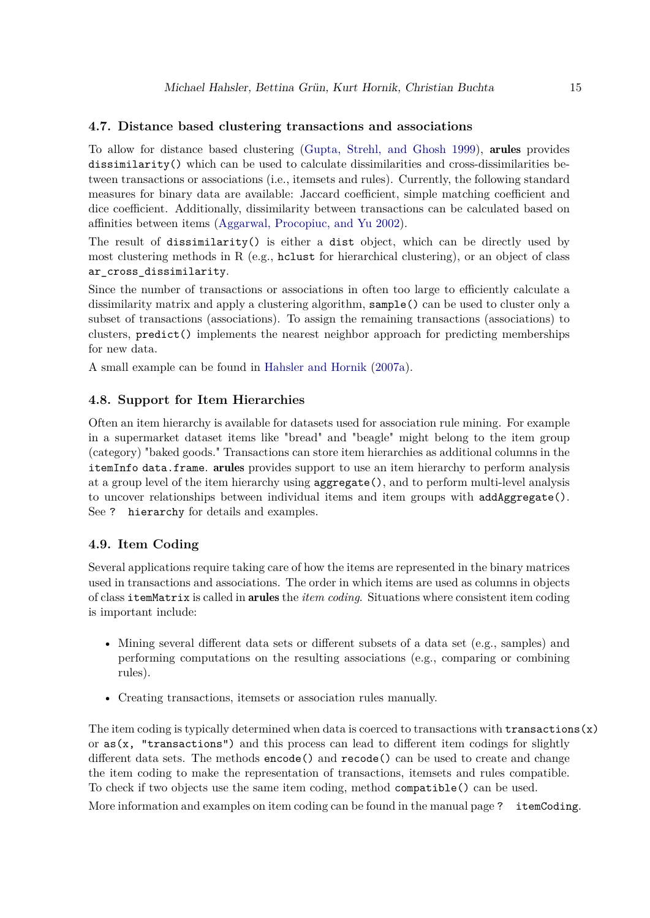## **4.7. Distance based clustering transactions and associations**

To allow for distance based clustering [\(Gupta, Strehl, and Ghosh 1999\)](#page-35-12), arules provides dissimilarity() which can be used to calculate dissimilarities and cross-dissimilarities between transactions or associations (i.e., itemsets and rules). Currently, the following standard measures for binary data are available: Jaccard coefficient, simple matching coefficient and dice coefficient. Additionally, dissimilarity between transactions can be calculated based on affinities between items [\(Aggarwal, Procopiuc, and Yu 2002\)](#page-34-2).

The result of dissimilarity() is either a dist object, which can be directly used by most clustering methods in R (e.g., holyet for hierarchical clustering), or an object of class ar\_cross\_dissimilarity.

Since the number of transactions or associations in often too large to efficiently calculate a dissimilarity matrix and apply a clustering algorithm, sample() can be used to cluster only a subset of transactions (associations). To assign the remaining transactions (associations) to clusters, predict() implements the nearest neighbor approach for predicting memberships for new data.

A small example can be found in [Hahsler and Hornik](#page-36-13) [\(2007a\)](#page-36-13).

# **4.8. Support for Item Hierarchies**

Often an item hierarchy is available for datasets used for association rule mining. For example in a supermarket dataset items like "bread" and "beagle" might belong to the item group (category) "baked goods." Transactions can store item hierarchies as additional columns in the itemInfo data.frame. arules provides support to use an item hierarchy to perform analysis at a group level of the item hierarchy using aggregate(), and to perform multi-level analysis to uncover relationships between individual items and item groups with addAggregate(). See ? hierarchy for details and examples.

#### **4.9. Item Coding**

Several applications require taking care of how the items are represented in the binary matrices used in transactions and associations. The order in which items are used as columns in objects of class itemMatrix is called in arules the *item coding*. Situations where consistent item coding is important include:

- Mining several different data sets or different subsets of a data set (e.g., samples) and performing computations on the resulting associations (e.g., comparing or combining rules).
- Creating transactions, itemsets or association rules manually.

The item coding is typically determined when data is coerced to transactions with transactions  $(x)$ or  $as(x, "transactions")$  and this process can lead to different item codings for slightly different data sets. The methods encode() and recode() can be used to create and change the item coding to make the representation of transactions, itemsets and rules compatible. To check if two objects use the same item coding, method compatible() can be used. More information and examples on item coding can be found in the manual page ? itemCoding.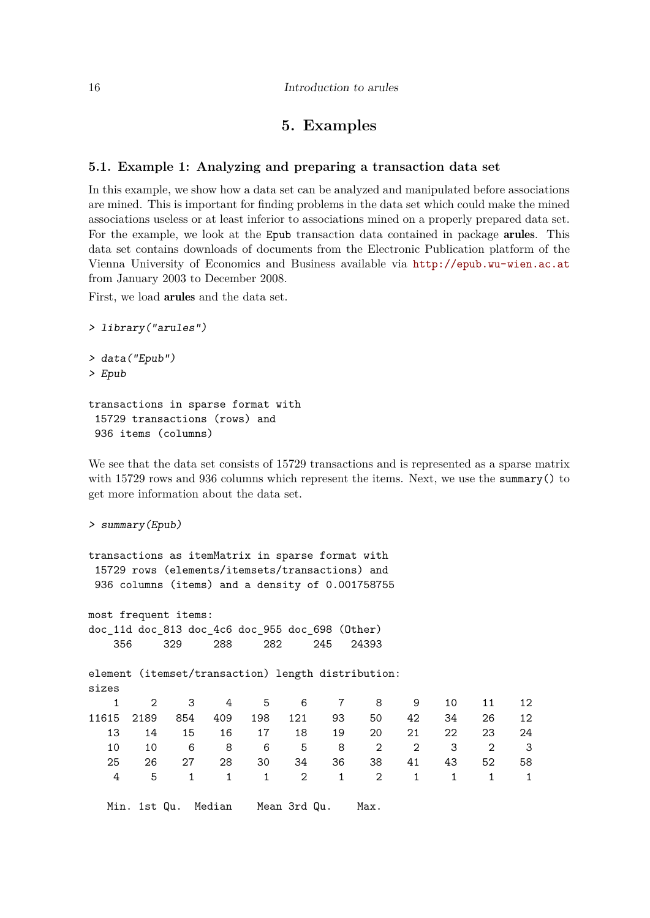# **5. Examples**

# <span id="page-15-1"></span><span id="page-15-0"></span>**5.1. Example 1: Analyzing and preparing a transaction data set**

In this example, we show how a data set can be analyzed and manipulated before associations are mined. This is important for finding problems in the data set which could make the mined associations useless or at least inferior to associations mined on a properly prepared data set. For the example, we look at the Epub transaction data contained in package arules. This data set contains downloads of documents from the Electronic Publication platform of the Vienna University of Economics and Business available via <http://epub.wu-wien.ac.at> from January 2003 to December 2008.

First, we load arules and the data set.

```
> library("arules")
> data("Epub")
> Epub
transactions in sparse format with
 15729 transactions (rows) and
```
936 items (columns)

We see that the data set consists of 15729 transactions and is represented as a sparse matrix with 15729 rows and 936 columns which represent the items. Next, we use the summary () to get more information about the data set.

```
> summary(Epub)
```

```
transactions as itemMatrix in sparse format with
 15729 rows (elements/itemsets/transactions) and
936 columns (items) and a density of 0.001758755
```
most frequent items: doc\_11d doc\_813 doc\_4c6 doc\_955 doc\_698 (Other) 356 329 288 282 245 24393

element (itemset/transaction) length distribution: sizes

|            | 1 2 3 4 5 6 7 8 9 10 11 12 |    |    |  |                     |          |    |      |     |
|------------|----------------------------|----|----|--|---------------------|----------|----|------|-----|
| 11615 2189 |                            |    |    |  | 854 409 198 121 93  | 50 42 34 |    | 26 — | 12  |
| 13         | -14                        | 15 |    |  | 16 17 18 19         | 20 21    | 22 | 23   | -24 |
| 10.        | 10                         |    |    |  | 6 8 6 5 8 2 2 3 2 3 |          |    |      |     |
| 25         | 26.                        | 27 | 28 |  | 30 34 36 38 41      |          | 43 | 52   | 58  |
|            | 4 5 1 1 1 2 1 2 1 1 1 1    |    |    |  |                     |          |    |      |     |
|            |                            |    |    |  |                     |          |    |      |     |

Min. 1st Qu. Median Mean 3rd Qu. Max.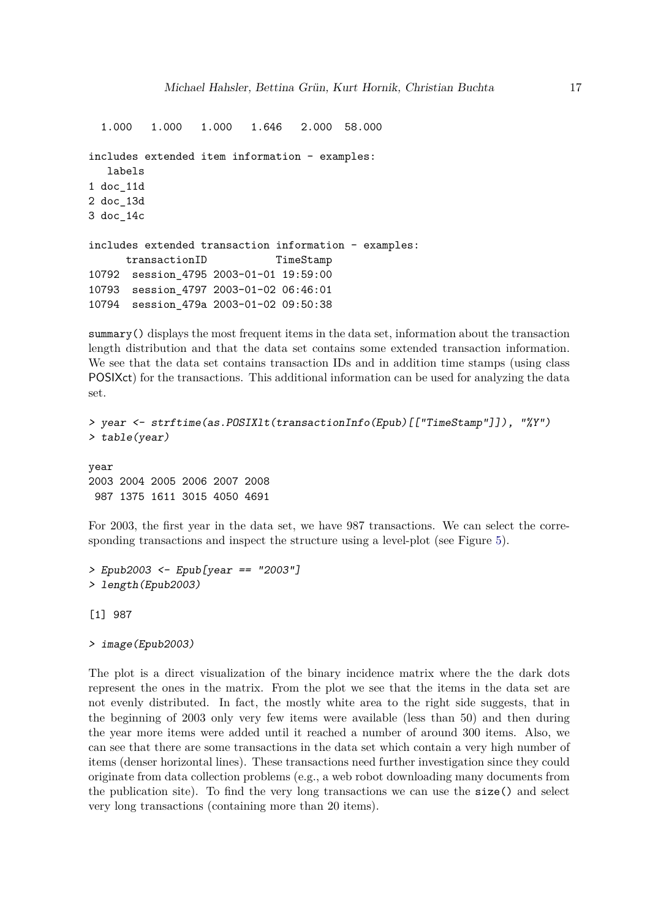```
1.000 1.000 1.000 1.646 2.000 58.000
includes extended item information - examples:
  labels
1 doc_11d
2 doc_13d
3 doc_14c
includes extended transaction information - examples:
     transactionID TimeStamp
10792 session_4795 2003-01-01 19:59:00
10793 session_4797 2003-01-02 06:46:01
10794 session_479a 2003-01-02 09:50:38
```
summary () displays the most frequent items in the data set, information about the transaction length distribution and that the data set contains some extended transaction information. We see that the data set contains transaction IDs and in addition time stamps (using class POSIXct) for the transactions. This additional information can be used for analyzing the data set.

```
> year <- strftime(as.POSIXlt(transactionInfo(Epub)[["TimeStamp"]]), "%Y")
> table(year)
```
year 2003 2004 2005 2006 2007 2008 987 1375 1611 3015 4050 4691

For 2003, the first year in the data set, we have 987 transactions. We can select the corresponding transactions and inspect the structure using a level-plot (see Figure [5\)](#page-17-0).

```
> Epub2003 <- Epub[year == "2003"]
> length(Epub2003)
```
[1] 987

```
> image(Epub2003)
```
The plot is a direct visualization of the binary incidence matrix where the the dark dots represent the ones in the matrix. From the plot we see that the items in the data set are not evenly distributed. In fact, the mostly white area to the right side suggests, that in the beginning of 2003 only very few items were available (less than 50) and then during the year more items were added until it reached a number of around 300 items. Also, we can see that there are some transactions in the data set which contain a very high number of items (denser horizontal lines). These transactions need further investigation since they could originate from data collection problems (e.g., a web robot downloading many documents from the publication site). To find the very long transactions we can use the size() and select very long transactions (containing more than 20 items).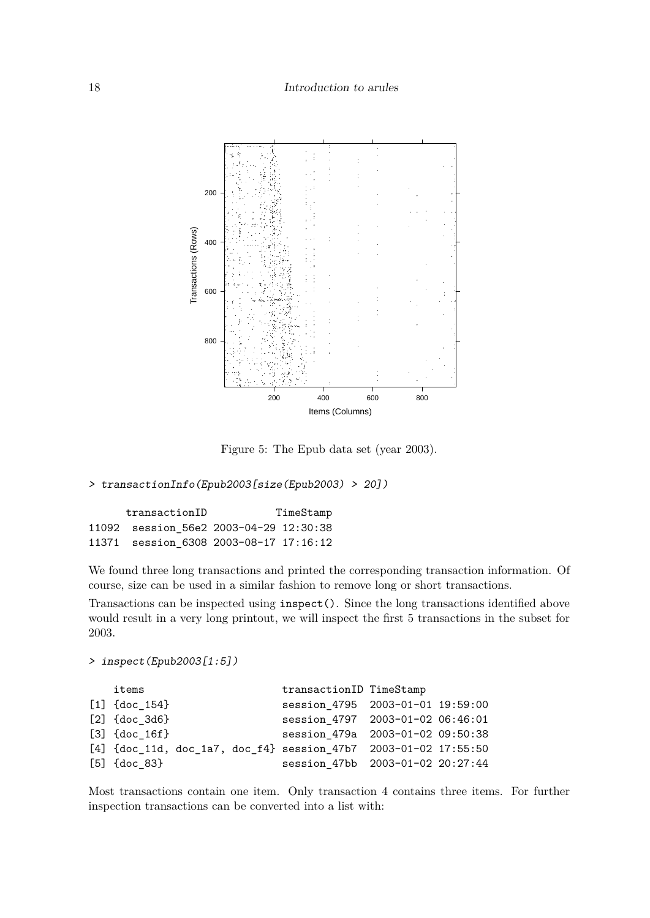

<span id="page-17-0"></span>Figure 5: The Epub data set (year 2003).

```
> transactionInfo(Epub2003[size(Epub2003) > 20])
```

| transactionID | TimeStamp                              |  |  |
|---------------|----------------------------------------|--|--|
|               | 11092 session 56e2 2003-04-29 12:30:38 |  |  |
|               | 11371 session 6308 2003-08-17 17:16:12 |  |  |

We found three long transactions and printed the corresponding transaction information. Of course, size can be used in a similar fashion to remove long or short transactions.

Transactions can be inspected using inspect(). Since the long transactions identified above would result in a very long printout, we will inspect the first 5 transactions in the subset for 2003.

```
> inspect(Epub2003[1:5])
```

| items                                                             |  | transactionID TimeStamp          |  |
|-------------------------------------------------------------------|--|----------------------------------|--|
| $[1]$ {doc 154}                                                   |  | session_4795 2003-01-01 19:59:00 |  |
| $[2]$ {doc 3d6}                                                   |  | session 4797 2003-01-02 06:46:01 |  |
| $[3]$ {doc 16f}                                                   |  | session 479a 2003-01-02 09:50:38 |  |
| $[4]$ {doc_11d, doc_1a7, doc_f4} session 47b7 2003-01-02 17:55:50 |  |                                  |  |
| $[5]$ {doc 83}                                                    |  | session 47bb 2003-01-02 20:27:44 |  |

Most transactions contain one item. Only transaction 4 contains three items. For further inspection transactions can be converted into a list with: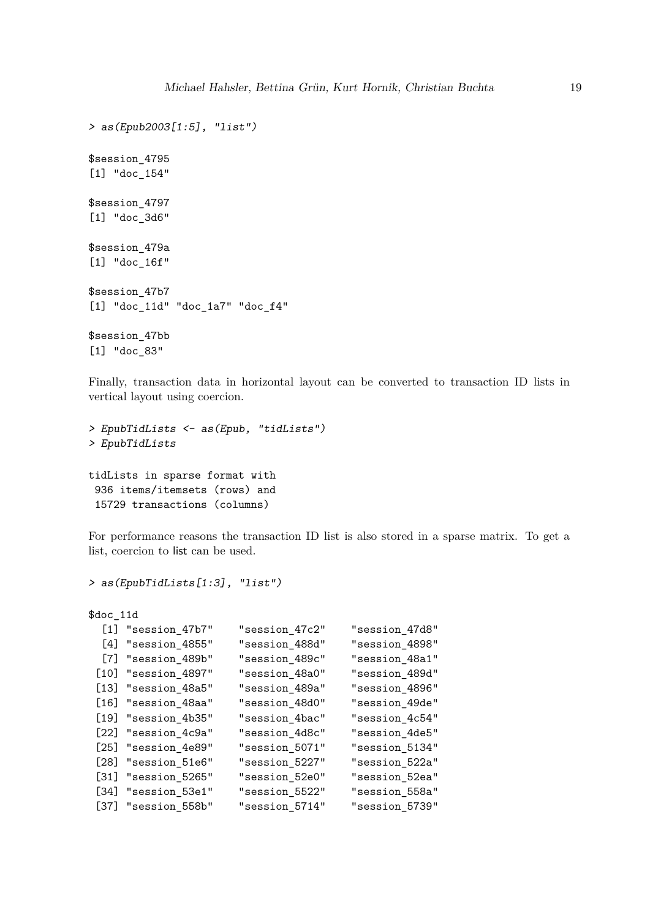```
> as(Epub2003[1:5], "list")
$session_4795
[1] "doc_154"
$session_4797
[1] "doc_3d6"
$session_479a
[1] "doc_16f"
$session_47b7
[1] "doc_11d" "doc_1a7" "doc_f4"
$session_47bb
[1] "doc_83"
```
Finally, transaction data in horizontal layout can be converted to transaction ID lists in vertical layout using coercion.

```
> EpubTidLists <- as(Epub, "tidLists")
> EpubTidLists
tidLists in sparse format with
 936 items/itemsets (rows) and
```
15729 transactions (columns)

For performance reasons the transaction ID list is also stored in a sparse matrix. To get a list, coercion to list can be used.

```
> as(EpubTidLists[1:3], "list")
```
\$doc\_11d

|        | $[1]$ "session_47b7"  | "session_47c2" | "session_47d8" |
|--------|-----------------------|----------------|----------------|
|        | [4] "session_4855"    | "session_488d" | "session_4898" |
|        | [7] "session_489b"    | "session_489c" | "session_48a1" |
|        | [10] "session_4897"   | "session_48a0" | "session_489d" |
|        | $[13]$ "session_48a5" | "session_489a" | "session_4896" |
|        | [16] "session_48aa"   | "session_48d0" | "session_49de" |
|        | $[19]$ "session_4b35" | "session_4bac" | "session_4c54" |
|        | [22] "session_4c9a"   | "session_4d8c" | "session_4de5" |
|        | $[25]$ "session_4e89" | "session_5071" | "session_5134" |
|        | $[28]$ "session_51e6" | "session_5227" | "session_522a" |
| $[31]$ | "session_5265"        | "session_52e0" | "session_52ea" |
|        | [34] "session_53e1"   | "session_5522" | "session_558a" |
|        | [37] "session_558b"   | "session_5714" | "session_5739" |
|        |                       |                |                |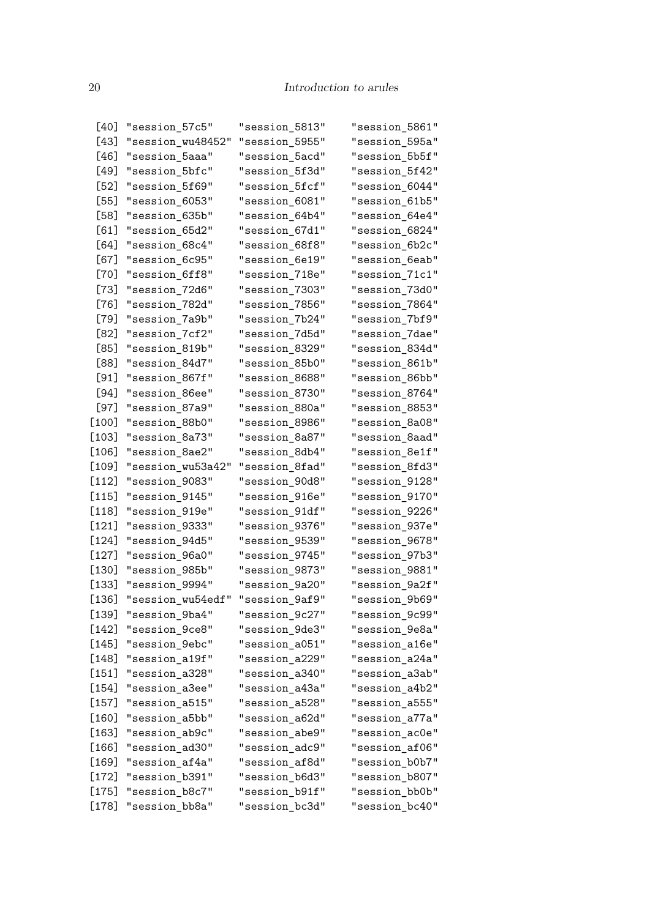| [40]    | "session_57c5"    | "session_5813" | "session_5861" |
|---------|-------------------|----------------|----------------|
| [43]    | "session_wu48452" | "session_5955" | "session_595a" |
| [46]    | "session_5aaa"    | "session_5acd" | "session_5b5f" |
| [49]    | "session_5bfc"    | "session_5f3d" | "session_5f42" |
| L52 J   | "session_5f69"    | "session_5fcf" | "session_6044" |
| [55]    | "session_6053"    | "session_6081" | "session_61b5" |
| [58]    | "session_635b"    | "session_64b4" | "session_64e4" |
| [61]    | "session_65d2"    | "session_67d1" | "session_6824" |
| [64]    | "session_68c4"    | "session_68f8" | "session_6b2c" |
| [67]    | "session_6c95"    | "session_6e19" | "session_6eab" |
| [70]    | "session_6ff8"    | "session_718e" | "session_71c1" |
| [73]    | "session_72d6"    | "session_7303" | "session_73d0" |
| [76]    | "session_782d"    | "session_7856" | "session_7864" |
| [79]    | "session_7a9b"    | "session_7b24" | "session_7bf9" |
| [82]    | "session_7cf2"    | "session_7d5d" | "session_7dae" |
| [85]    | "session_819b"    | "session_8329" | "session_834d" |
| [88]    | "session_84d7"    | "session_85b0" | "session_861b" |
| [91]    | "session_867f"    | "session_8688" | "session_86bb" |
| [94]    | "session_86ee"    | "session_8730" | "session_8764" |
| [97]    | "session_87a9"    | "session_880a" | "session_8853" |
| [100]   | "session_88b0"    | "session_8986" | "session_8a08" |
| [103]   | "session_8a73"    | "session_8a87" | "session_8aad" |
| [106]   | "session_8ae2"    | "session_8db4" | "session_8e1f" |
| [109]   | "session_wu53a42" | "session_8fad" | "session_8fd3" |
| [112]   | "session_9083"    | "session_90d8" | "session_9128" |
| $[115]$ | "session_9145"    | "session_916e" | "session_9170" |
| $[118]$ | "session_919e"    | "session_91df" | "session_9226" |
| [121]   | "session_9333"    | "session_9376" | "session_937e" |
| $[124]$ | "session_94d5"    | "session_9539" | "session_9678" |
| [127]   | "session_96a0"    | "session_9745" | "session_97b3" |
| [130]   | "session_985b"    | "session_9873" | "session_9881" |
| [133]   | "session_9994"    | "session_9a20" | "session_9a2f" |
| [136]   | "session_wu54edf" | "session_9af9" | "session_9b69" |
| $[139]$ | "session_9ba4"    | "session_9c27" | "session_9c99" |
| $[142]$ | "session_9ce8"    | "session_9de3" | "session_9e8a" |
| $[145]$ | "session_9ebc"    | "session_a051" | "session_a16e" |
| [148]   | "session_a19f"    | "session_a229" | "session_a24a" |
| $[151]$ | "session_a328"    | "session_a340" | "session_a3ab" |
| $[154]$ | "session_a3ee"    | "session_a43a" | "session_a4b2" |
| $[157]$ | "session_a515"    | "session_a528" | "session_a555" |
| [160]   | "session_a5bb"    | "session_a62d" | "session_a77a" |
| $[163]$ | "session_ab9c"    | "session_abe9" | "session_ac0e" |
| [166]   | "session_ad30"    | "session_adc9" | "session_af06" |
| [169]   | "session_af4a"    | "session_af8d" | "session_b0b7" |
| $[172]$ | "session_b391"    | "session_b6d3" | "session_b807" |
| $[175]$ | "session_b8c7"    | "session_b91f" | "session_bb0b" |
| $[178]$ | "session_bb8a"    | "session_bc3d" | "session_bc40" |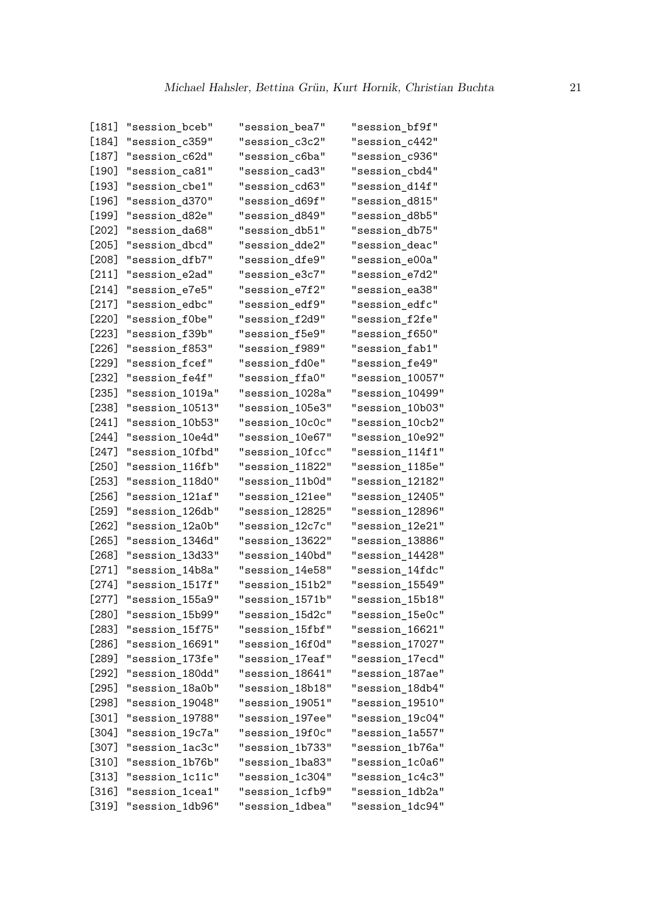| L181 J                | "session_bceb"  | "session_bea7"  | "session_bf9f"  |
|-----------------------|-----------------|-----------------|-----------------|
| [184]                 | "session_c359"  | "session_c3c2"  | "session_c442"  |
| [187]                 | "session_c62d"  | "session_c6ba"  | "session_c936"  |
| [190]                 | "session_ca81"  | "session_cad3"  | "session_cbd4"  |
| [193]                 | "session_cbe1"  | "session_cd63"  | "session_d14f"  |
| [196]                 | "session_d370"  | "session_d69f"  | "session_d815"  |
| [199]                 | "session_d82e"  | "session_d849"  | "session_d8b5"  |
| [202]                 | "session_da68"  | "session_db51"  | "session_db75"  |
| L205]                 | "session_dbcd"  | "session_dde2"  | "session_deac"  |
| L208 J                | "session_dfb7"  | "session_dfe9"  | "session_e00a"  |
| [211]                 | "session_e2ad"  | "session_e3c7"  | "session_e7d2"  |
| [214]                 | "session_e7e5"  | "session_e7f2"  | "session_ea38"  |
| [217]                 | "session_edbc"  | "session_edf9"  | "session_edfc"  |
| [220]                 | "session_f0be"  | "session_f2d9"  | "session_f2fe"  |
| [223]                 | "session_f39b"  | "session_f5e9"  | "session_f650"  |
| [226]                 | "session_f853"  | "session_f989"  | "session_fab1"  |
| L229 J                | "session_fcef"  | "session_fd0e"  | "session_fe49"  |
| [232]                 | "session_fe4f"  | "session_ffa0"  | "session_10057" |
| [235]                 | "session_1019a" | "session_1028a" | "session_10499" |
| [238]                 | "session_10513" | "session_105e3" | "session_10b03" |
| L241 J                | "session_10b53" | "session_10c0c" | "session_10cb2" |
| [244]                 | "session_10e4d" | "session 10e67" | "session_10e92" |
| [247]                 | "session_10fbd" | "session_10fcc" | "session_114f1" |
| [250]                 | "session_116fb" | "session_11822" | "session_1185e" |
| [253]                 | "session_118d0" | "session_11b0d" | "session_12182" |
| L256 J                | "session_121af" | "session_121ee" | "session_12405" |
| [259]                 | "session_126db" | "session_12825" | "session_12896" |
| [262]                 | "session_12a0b" | "session_12c7c" | "session_12e21" |
| L265 I                | "session_1346d" | "session_13622" | "session_13886" |
| L268 J                | "session_13d33" | "session_140bd" | "session_14428" |
| $\lfloor 271 \rfloor$ | "session_14b8a" | "session_14e58" | "session_14fdc" |
| L274 J                | "session_1517f" | "session_151b2" | "session_15549" |
| L277 J                | "session_155a9" | "session_1571b" | "session_15b18" |
| [280]                 | "session_15b99" | "session_15d2c" | "session_15e0c" |
| [283]                 | "session_15f75" | "session_15fbf" | "session_16621" |
| $[286]$               | "session_16691" | "session_16f0d" | "session_17027" |
| $[289]$               | "session_173fe" | "session_17eaf" | "session_17ecd" |
| [292]                 | "session_180dd" | "session_18641" | "session_187ae" |
| [295]                 | "session_18a0b" | "session_18b18" | "session_18db4" |
| [298]                 | "session_19048" | "session_19051" | "session_19510" |
| $[301]$               | "session_19788" | "session_197ee" | "session_19c04" |
| [304]                 | "session_19c7a" | "session_19f0c" | "session_1a557" |
| [307]                 | "session_1ac3c" | "session_1b733" | "session_1b76a" |
| [310]                 | "session_1b76b" | "session_1ba83" | "session_1c0a6" |
| [313]                 | "session_1c11c" | "session_1c304" | "session_1c4c3" |
| $[316]$               | "session_1cea1" | "session_1cfb9" | "session_1db2a" |
| $[319]$               | "session_1db96" | "session_1dbea" | "session_1dc94" |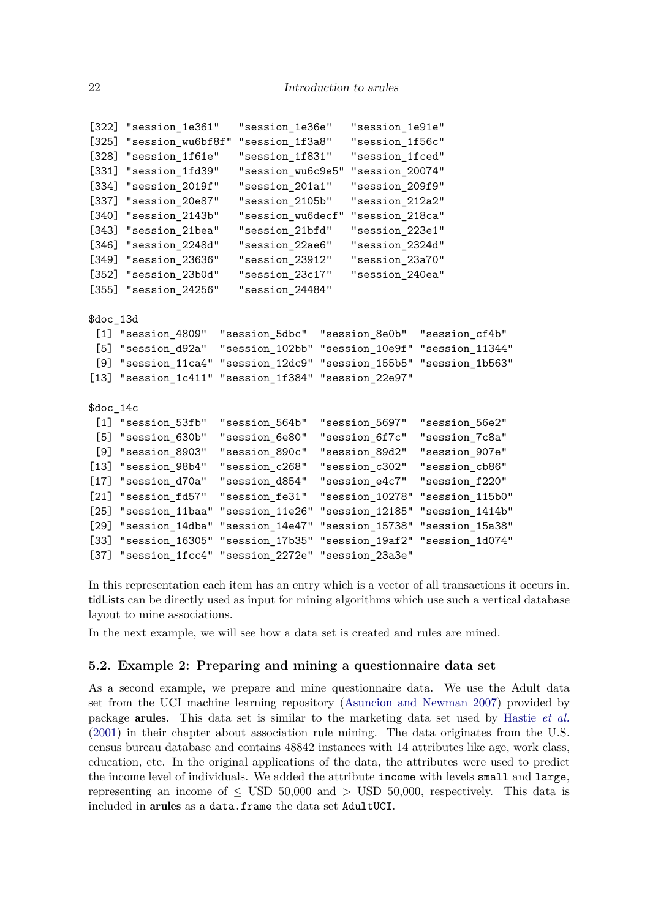```
[322] "session_1e361" "session_1e36e" "session_1e91e"
[325] "session_wu6bf8f" "session_1f3a8" "session_1f56c"
[328] "session_1f61e" "session_1f831" "session_1fced"
[331] "session_1fd39" "session_wu6c9e5" "session_20074"
[334] "session_2019f" "session_201a1" "session_209f9"
[337] "session_20e87" "session_2105b" "session_212a2"
[340] "session_2143b" "session_wu6decf" "session_218ca"
[343] "session_21bea" "session_21bfd" "session_223e1"
[346] "session_2248d" "session_22ae6" "session_2324d"
[349] "session_23636" "session_23912" "session_23a70"
[352] "session_23b0d" "session_23c17" "session_240ea"
[355] "session_24256" "session_24484"
$doc_13d
 [1] "session_4809" "session_5dbc" "session_8e0b" "session_cf4b"
 [5] "session_d92a" "session_102bb" "session_10e9f" "session_11344"
 [9] "session_11ca4" "session_12dc9" "session_155b5" "session_1b563"
[13] "session_1c411" "session_1f384" "session_22e97"
$doc_14c
 [1] "session_53fb" "session_564b" "session_5697" "session_56e2"
 [5] "session_630b" "session_6e80" "session_6f7c" "session_7c8a"
 [9] "session_8903" "session_890c" "session_89d2" "session_907e"
[13] "session_98b4" "session_c268" "session_c302" "session_cb86"
[17] "session_d70a" "session_d854" "session_e4c7" "session_f220"
[21] "session_fd57" "session_fe31" "session_10278" "session_115b0"
[25] "session_11baa" "session_11e26" "session_12185" "session_1414b"
[29] "session_14dba" "session_14e47" "session_15738" "session_15a38"
[33] "session_16305" "session_17b35" "session_19af2" "session_1d074"
[37] "session_1fcc4" "session_2272e" "session_23a3e"
```
In this representation each item has an entry which is a vector of all transactions it occurs in. tidLists can be directly used as input for mining algorithms which use such a vertical database layout to mine associations.

In the next example, we will see how a data set is created and rules are mined.

#### **5.2. Example 2: Preparing and mining a questionnaire data set**

As a second example, we prepare and mine questionnaire data. We use the Adult data set from the UCI machine learning repository [\(Asuncion and Newman 2007\)](#page-35-13) provided by package arules. This data set is similar to the marketing data set used by [Hastie](#page-36-1) *et al.* [\(2001\)](#page-36-1) in their chapter about association rule mining. The data originates from the U.S. census bureau database and contains 48842 instances with 14 attributes like age, work class, education, etc. In the original applications of the data, the attributes were used to predict the income level of individuals. We added the attribute income with levels small and large, representing an income of  $\leq$  USD 50,000 and  $>$  USD 50,000, respectively. This data is included in arules as a data.frame the data set AdultUCI.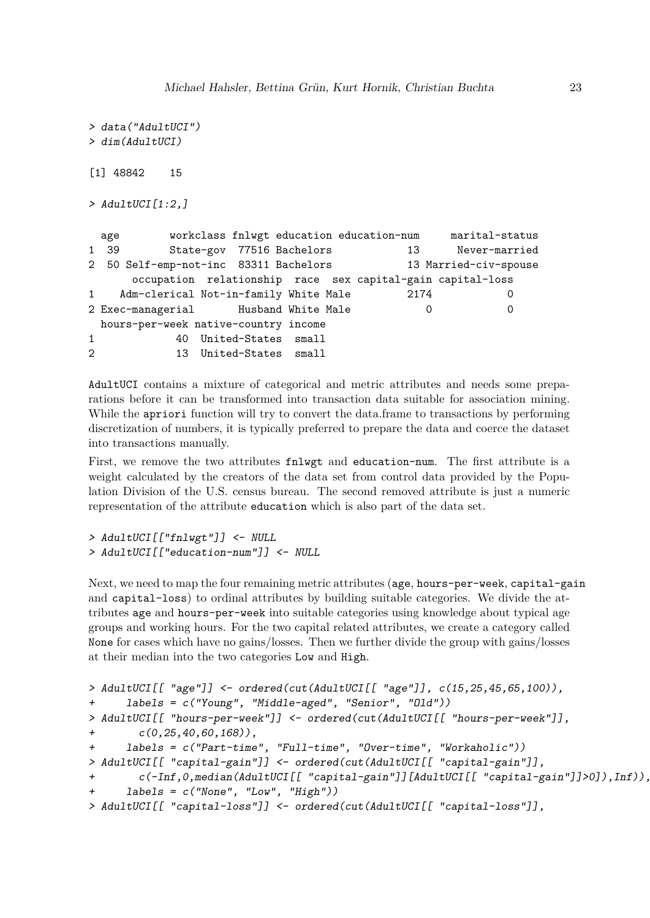```
> data("AdultUCI")
> dim(AdultUCI)
[1] 48842 15
> AdultUCI[1:2,]
 age workclass fnlwgt education education-num marital-status
1 39 State-gov 77516 Bachelors 13 Never-married
2 50 Self-emp-not-inc 83311 Bachelors 13 Married-civ-spouse
     occupation relationship race sex capital-gain capital-loss
1 Adm-clerical Not-in-family White Male 2174 0
2 Exec-managerial Husband White Male 0 0
 hours-per-week native-country income
1 40 United-States small
2 13 United-States small
```
AdultUCI contains a mixture of categorical and metric attributes and needs some preparations before it can be transformed into transaction data suitable for association mining. While the apriori function will try to convert the data.frame to transactions by performing discretization of numbers, it is typically preferred to prepare the data and coerce the dataset into transactions manually.

First, we remove the two attributes fnlwgt and education-num. The first attribute is a weight calculated by the creators of the data set from control data provided by the Population Division of the U.S. census bureau. The second removed attribute is just a numeric representation of the attribute education which is also part of the data set.

*> AdultUCI[["fnlwgt"]] <- NULL > AdultUCI[["education-num"]] <- NULL*

Next, we need to map the four remaining metric attributes (age, hours-per-week, capital-gain and capital-loss) to ordinal attributes by building suitable categories. We divide the attributes age and hours-per-week into suitable categories using knowledge about typical age groups and working hours. For the two capital related attributes, we create a category called None for cases which have no gains/losses. Then we further divide the group with gains/losses at their median into the two categories Low and High.

```
> AdultUCI[[ "age"]] <- ordered(cut(AdultUCI[[ "age"]], c(15,25,45,65,100)),
+ labels = c("Young", "Middle-aged", "Senior", "Old"))
> AdultUCI[[ "hours-per-week"]] <- ordered(cut(AdultUCI[[ "hours-per-week"]],
+ c(0,25,40,60,168)),
+ labels = c("Part-time", "Full-time", "Over-time", "Workaholic"))
> AdultUCI[[ "capital-gain"]] <- ordered(cut(AdultUCI[[ "capital-gain"]],
       + c(-Inf,0,median(AdultUCI[[ "capital-gain"]][AdultUCI[[ "capital-gain"]]>0]),Inf)),
     + labels = c("None", "Low", "High"))
> AdultUCI[[ "capital-loss"]] <- ordered(cut(AdultUCI[[ "capital-loss"]],
```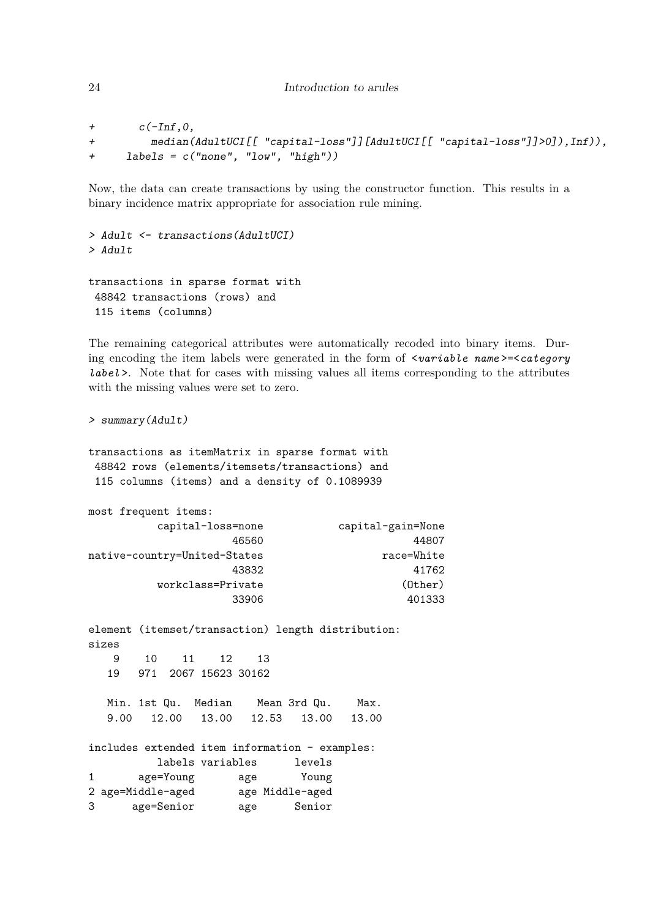```
24 Introduction to arules
```

```
+ c(-Inf,0,
+ median(AdultUCI[[ "capital-loss"]][AdultUCI[[ "capital-loss"]]>0]),Inf)),
+ labels = c("none", "low", "high"))
```
Now, the data can create transactions by using the constructor function. This results in a binary incidence matrix appropriate for association rule mining.

```
> Adult <- transactions(AdultUCI)
> Adult
transactions in sparse format with
 48842 transactions (rows) and
 115 items (columns)
```
The remaining categorical attributes were automatically recoded into binary items. During encoding the item labels were generated in the form of <*variable name* >=<*category label* >. Note that for cases with missing values all items corresponding to the attributes with the missing values were set to zero.

```
> summary(Adult)
```

```
transactions as itemMatrix in sparse format with
 48842 rows (elements/itemsets/transactions) and
 115 columns (items) and a density of 0.1089939
```

```
most frequent items:
        capital-loss=none capital-gain=None
                46560 44807
native-country=United-States race=White
                43832 41762
       workclass=Private (Other)
                33906 401333
element (itemset/transaction) length distribution:
sizes
   9 10 11 12 13
  19 971 2067 15623 30162
  Min. 1st Qu. Median Mean 3rd Qu. Max.
  9.00 12.00 13.00 12.53 13.00 13.00
includes extended item information - examples:
       labels variables levels
1 age=Young age Young
2 age=Middle-aged age Middle-aged
3 age=Senior age Senior
```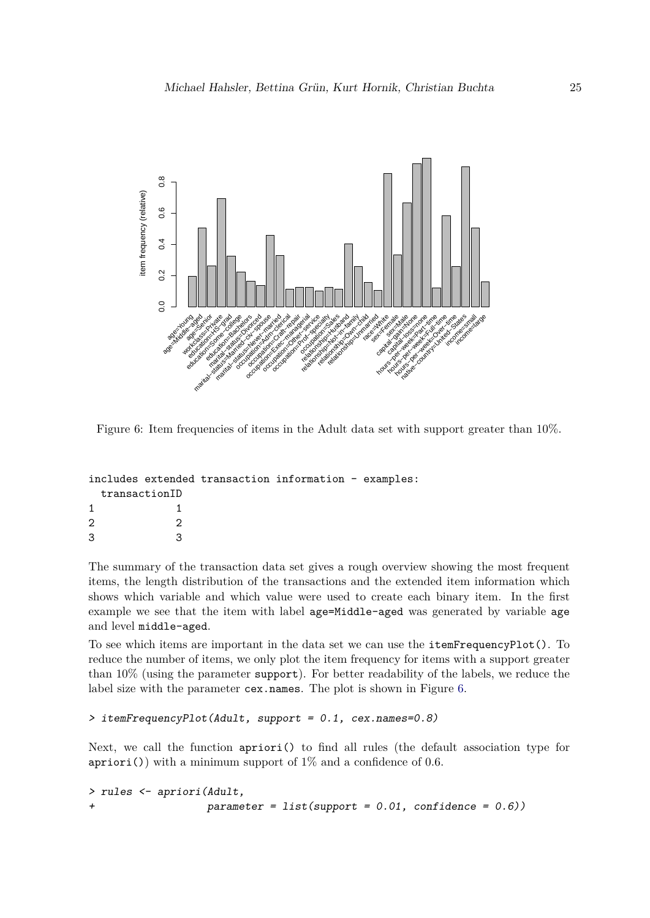

<span id="page-24-0"></span>Figure 6: Item frequencies of items in the Adult data set with support greater than 10%.

|                   | includes extended transaction information - examples: |  |  |
|-------------------|-------------------------------------------------------|--|--|
| transactionID     |                                                       |  |  |
|                   |                                                       |  |  |
| $\mathcal{D}_{1}$ |                                                       |  |  |
| 3                 |                                                       |  |  |

The summary of the transaction data set gives a rough overview showing the most frequent items, the length distribution of the transactions and the extended item information which shows which variable and which value were used to create each binary item. In the first example we see that the item with label age=Middle-aged was generated by variable age and level middle-aged.

To see which items are important in the data set we can use the itemFrequencyPlot(). To reduce the number of items, we only plot the item frequency for items with a support greater than 10% (using the parameter support). For better readability of the labels, we reduce the label size with the parameter cex.names. The plot is shown in Figure [6.](#page-24-0)

## *> itemFrequencyPlot(Adult, support = 0.1, cex.names=0.8)*

Next, we call the function apriori() to find all rules (the default association type for apriori()) with a minimum support of  $1\%$  and a confidence of 0.6.

*> rules <- apriori(Adult, + parameter = list(support = 0.01, confidence = 0.6))*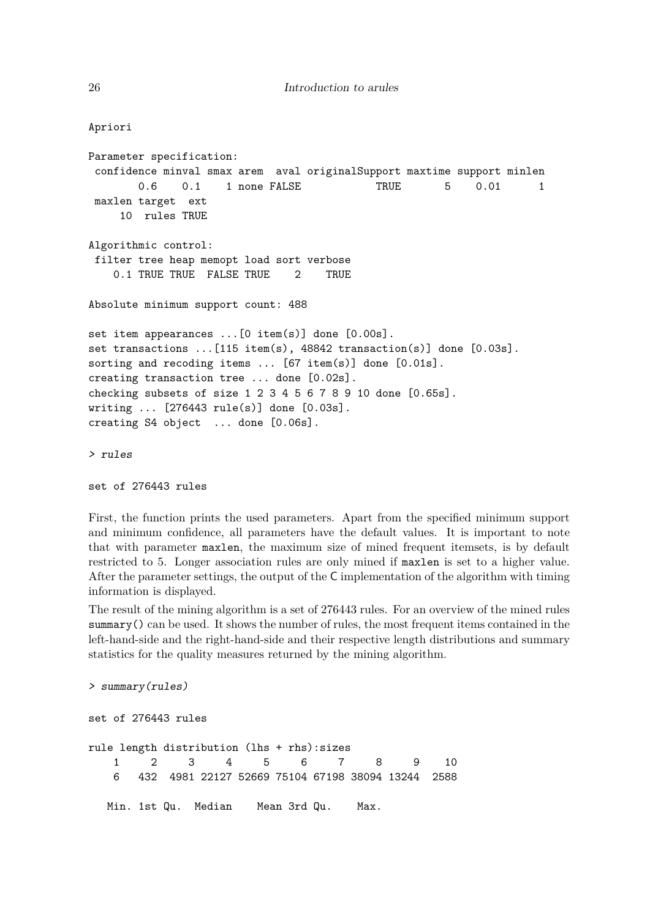```
Apriori
Parameter specification:
 confidence minval smax arem aval originalSupport maxtime support minlen
       0.6  0.1  1 none FALSE  TRUE  5  0.01  1
maxlen target ext
    10 rules TRUE
Algorithmic control:
 filter tree heap memopt load sort verbose
   0.1 TRUE TRUE FALSE TRUE 2 TRUE
Absolute minimum support count: 488
set item appearances ...[0 item(s)] done [0.00s].
set transactions ...[115 \text{ item(s)}, 48842 \text{ transaction(s)}] done [0.03s].
sorting and recoding items ... [67 item(s)] done [0.01s].
creating transaction tree ... done [0.02s].
checking subsets of size 1 2 3 4 5 6 7 8 9 10 done [0.65s].
writing ... [276443 rule(s)] done [0.03s].
creating S4 object ... done [0.06s].
> rules
```

```
set of 276443 rules
```
First, the function prints the used parameters. Apart from the specified minimum support and minimum confidence, all parameters have the default values. It is important to note that with parameter maxlen, the maximum size of mined frequent itemsets, is by default restricted to 5. Longer association rules are only mined if maxlen is set to a higher value. After the parameter settings, the output of the C implementation of the algorithm with timing information is displayed.

The result of the mining algorithm is a set of 276443 rules. For an overview of the mined rules summary() can be used. It shows the number of rules, the most frequent items contained in the left-hand-side and the right-hand-side and their respective length distributions and summary statistics for the quality measures returned by the mining algorithm.

```
> summary(rules)
set of 276443 rules
rule length distribution (lhs + rhs):sizes
   1 2 3 4 5 6 7 8 9 10
   6 432 4981 22127 52669 75104 67198 38094 13244 2588
  Min. 1st Qu. Median Mean 3rd Qu. Max.
```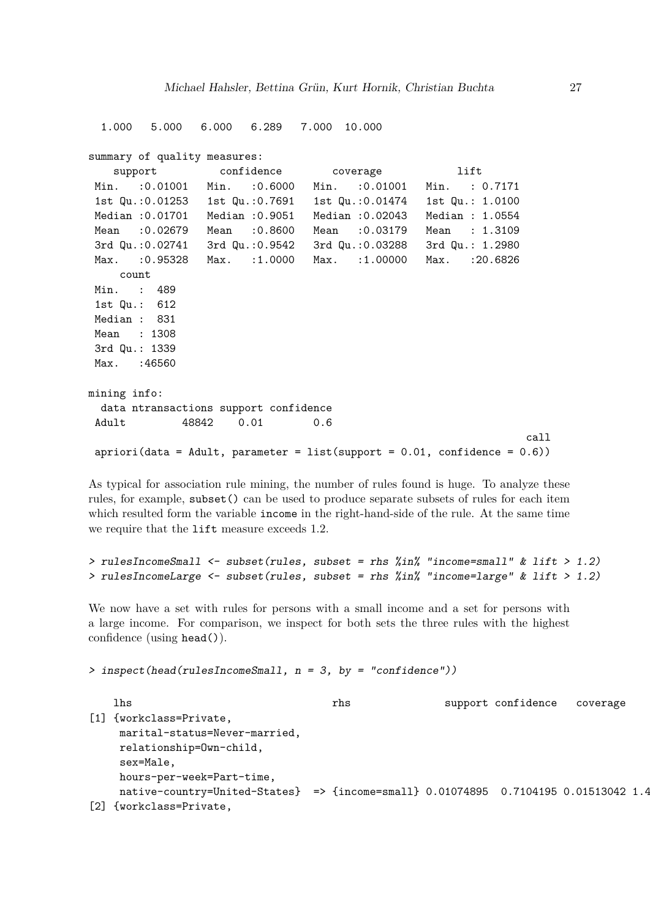```
1.000 5.000 6.000 6.289 7.000 10.000
summary of quality measures:
   support confidence coverage lift
 Min. :0.01001 Min. :0.6000 Min. :0.01001 Min. : 0.7171
 1st Qu.:0.01253 1st Qu.:0.7691 1st Qu.:0.01474 1st Qu.: 1.0100
Median :0.01701 Median :0.9051 Median :0.02043 Median : 1.0554
 Mean :0.02679 Mean :0.8600 Mean :0.03179 Mean : 1.3109
 3rd Qu.:0.02741 3rd Qu.:0.9542 3rd Qu.:0.03288 3rd Qu.: 1.2980
Max. :0.95328 Max. :1.0000 Max. :1.00000 Max. :20.6826
    count
Min. : 489
 1st Qu.: 612
Median : 831
Mean : 1308
3rd Qu.: 1339
Max. : 46560
mining info:
 data ntransactions support confidence
 Adult 48842  0.01  0.6
                                                             call
a priori(data = Adult, parameter = list(support = 0.01, confidence = 0.6))
```
As typical for association rule mining, the number of rules found is huge. To analyze these rules, for example, subset() can be used to produce separate subsets of rules for each item which resulted form the variable income in the right-hand-side of the rule. At the same time we require that the lift measure exceeds 1*.*2.

```
> rulesIncomeSmall <- subset(rules, subset = rhs %in% "income=small" & lift > 1.2)
> rulesIncomeLarge <- subset(rules, subset = rhs %in% "income=large" & lift > 1.2)
```
We now have a set with rules for persons with a small income and a set for persons with a large income. For comparison, we inspect for both sets the three rules with the highest confidence (using head()).

```
> inspect(head(rulesIncomeSmall, n = 3, by = "confidence"))
```

```
lhs methods of the rhs support confidence coverage
[1] {workclass=Private,
    marital-status=Never-married,
    relationship=Own-child,
    sex=Male,
    hours-per-week=Part-time,
    native-country=United-States} => {income=small} 0.01074895 0.7104195 0.01513042 1.4
[2] {workclass=Private,
```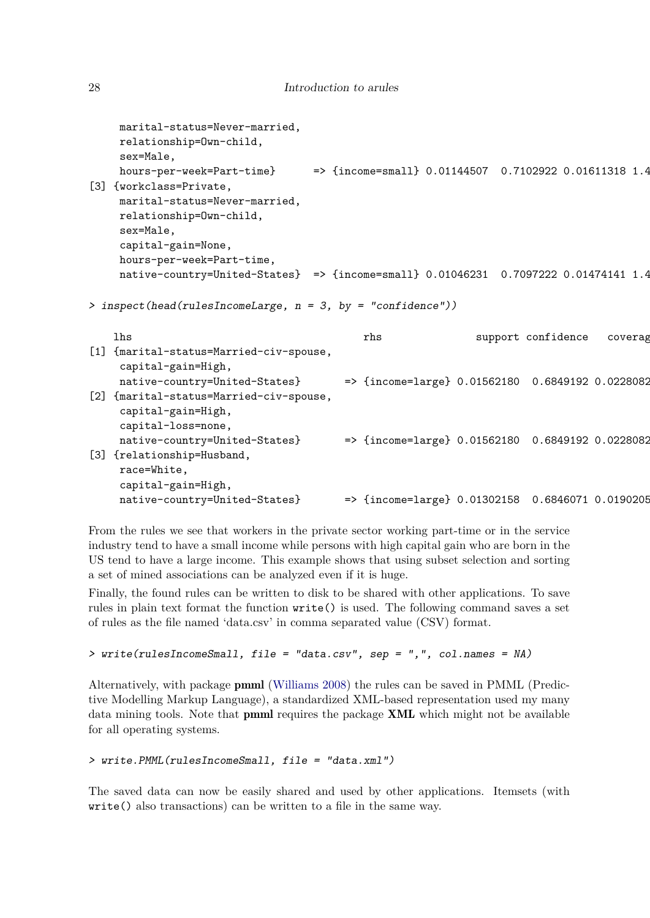```
marital-status=Never-married,
    relationship=Own-child,
    sex=Male,
    hours-per-week=Part-time} \implies {income=small} 0.01144507 0.7102922 0.01611318 1.4
[3] {workclass=Private,
    marital-status=Never-married,
    relationship=Own-child,
    sex=Male,
    capital-gain=None,
    hours-per-week=Part-time,
    native-country=United-States} => {income=small} 0.01046231 0.7097222 0.01474141 1.4
> inspect(head(rulesIncomeLarge, n = 3, by = "confidence"))
   lhs rhs rhs support confidence coverage
[1] {marital-status=Married-civ-spouse,
    capital-gain=High,
    native-country=United-States} => {income=large} 0.01562180 0.6849192 0.0228082
[2] {marital-status=Married-civ-spouse,
    capital-gain=High,
    capital-loss=none,
    native-country=United-States} => {income=large} 0.01562180 0.6849192 0.0228082
[3] {relationship=Husband,
    race=White,
    capital-gain=High,
    native-country=United-States} => {income=large} 0.01302158 0.6846071 0.0190205
```
From the rules we see that workers in the private sector working part-time or in the service industry tend to have a small income while persons with high capital gain who are born in the US tend to have a large income. This example shows that using subset selection and sorting a set of mined associations can be analyzed even if it is huge.

Finally, the found rules can be written to disk to be shared with other applications. To save rules in plain text format the function write() is used. The following command saves a set of rules as the file named 'data.csv' in comma separated value (CSV) format.

```
> write(rulesIncomeSmall, file = "data.csv", sep = ",", col.names = NA)
```
Alternatively, with package pmml [\(Williams 2008\)](#page-37-4) the rules can be saved in PMML (Predictive Modelling Markup Language), a standardized XML-based representation used my many data mining tools. Note that pmml requires the package XML which might not be available for all operating systems.

```
> write.PMML(rulesIncomeSmall, file = "data.xml")
```
The saved data can now be easily shared and used by other applications. Itemsets (with write() also transactions) can be written to a file in the same way.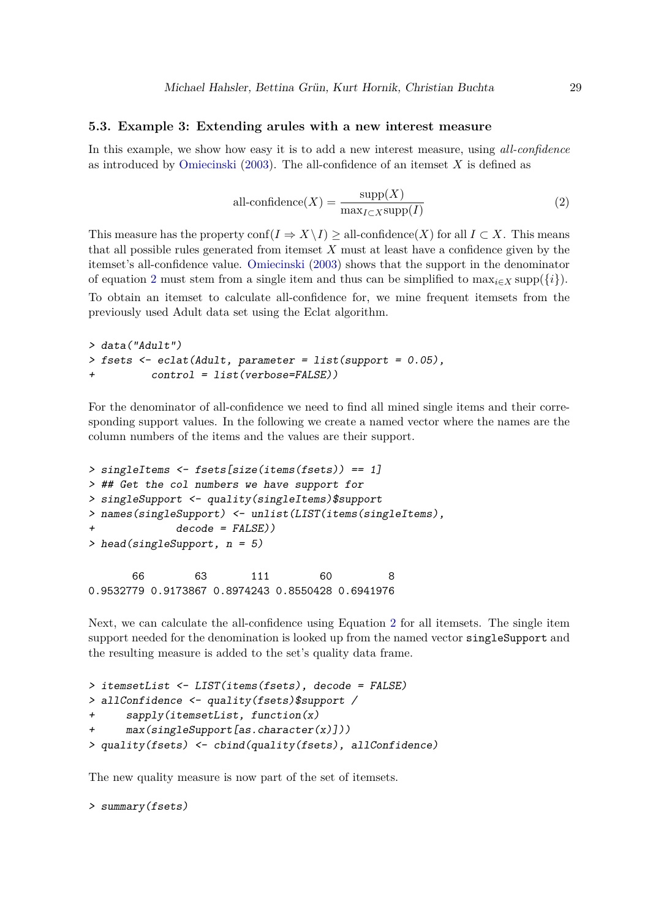### **5.3. Example 3: Extending arules with a new interest measure**

In this example, we show how easy it is to add a new interest measure, using *all-confidence* as introduced by [Omiecinski](#page-36-4) [\(2003\)](#page-36-4). The all-confidence of an itemset *X* is defined as

<span id="page-28-0"></span>
$$
all\text{-confidence}(X) = \frac{\text{supp}(X)}{\max_{I \subset X} \text{supp}(I)}\tag{2}
$$

This measure has the property conf $(I \Rightarrow X \setminus I) >$  all-confidence(*X*) for all  $I \subset X$ . This means that all possible rules generated from itemset *X* must at least have a confidence given by the itemset's all-confidence value. [Omiecinski](#page-36-4) [\(2003\)](#page-36-4) shows that the support in the denominator of equation [2](#page-28-0) must stem from a single item and thus can be simplified to  $\max_{i \in X} \text{supp}(\{i\}).$ 

To obtain an itemset to calculate all-confidence for, we mine frequent itemsets from the previously used Adult data set using the Eclat algorithm.

```
> data("Adult")
> fsets <- eclat(Adult, parameter = list(support = 0.05),
+ control = list(verbose=FALSE))
```
For the denominator of all-confidence we need to find all mined single items and their corresponding support values. In the following we create a named vector where the names are the column numbers of the items and the values are their support.

```
> singleItems <- fsets[size(items(fsets)) == 1]
> ## Get the col numbers we have support for
> singleSupport <- quality(singleItems)$support
> names(singleSupport) <- unlist(LIST(items(singleItems),
             + decode = FALSE))
> head(singleSupport, n = 5)
      66 63 111 60 8
0.9532779 0.9173867 0.8974243 0.8550428 0.6941976
```
Next, we can calculate the all-confidence using Equation [2](#page-28-0) for all itemsets. The single item support needed for the denomination is looked up from the named vector singleSupport and the resulting measure is added to the set's quality data frame.

```
> itemsetList <- LIST(items(fsets), decode = FALSE)
> allConfidence <- quality(fsets)$support /
      + sapply(itemsetList, function(x)
      + max(singleSupport[as.character(x)]))
> quality(fsets) <- cbind(quality(fsets), allConfidence)
```
The new quality measure is now part of the set of itemsets.

```
> summary(fsets)
```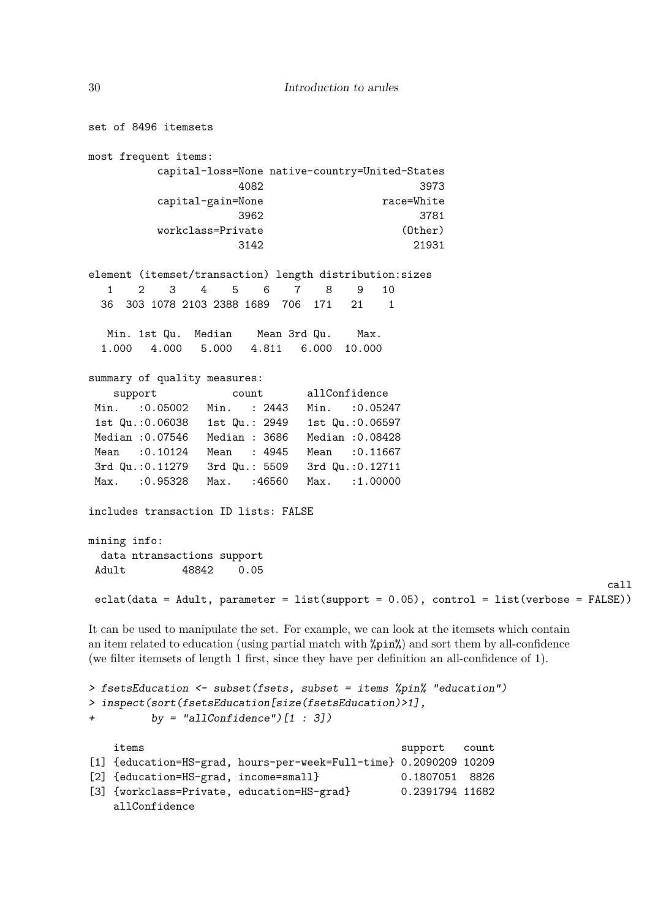```
set of 8496 itemsets
most frequent items:
         capital-loss=None native-country=United-States
                     4082 3973
         capital-gain=None race=White
                     3962 3781
         workclass=Private (Other)
                     3142 21931
element (itemset/transaction) length distribution:sizes
  1 2 3 4 5 6 7 8 9 10
 36 303 1078 2103 2388 1689 706 171 21 1
  Min. 1st Qu. Median Mean 3rd Qu. Max.
 1.000 4.000 5.000 4.811 6.000 10.000
summary of quality measures:
   support count allConfidence
Min. :0.05002 Min. : 2443 Min. :0.05247
 1st Qu.:0.06038 1st Qu.: 2949 1st Qu.:0.06597
Median :0.07546 Median : 3686 Median :0.08428
Mean :0.10124 Mean : 4945 Mean :0.11667
3rd Qu.:0.11279 3rd Qu.: 5509 3rd Qu.:0.12711
Max. :0.95328 Max. :46560 Max. :1.00000
includes transaction ID lists: FALSE
mining info:
 data ntransactions support
Adult 48842 0.05
                                                                        call
eclat(data = Adult, parameter = list(support = 0.05), control = list(verbose = FALSE))
It can be used to manipulate the set. For example, we can look at the itemsets which contain
an item related to education (using partial match with %pin%) and sort them by all-confidence
(we filter itemsets of length 1 first, since they have per definition an all-confidence of 1).
> fsetsEducation <- subset(fsets, subset = items %pin% "education")
> inspect(sort(fsetsEducation[size(fsetsEducation)>1],
+ by = "allConfidence")[1 : 3])
   items support count
[1] {education=HS-grad, hours-per-week=Full-time} 0.2090209 10209
```

```
[2] {education=HS-grad, income=small} 0.1807051 8826
[3] {workclass=Private, education=HS-grad} 0.2391794 11682
```
allConfidence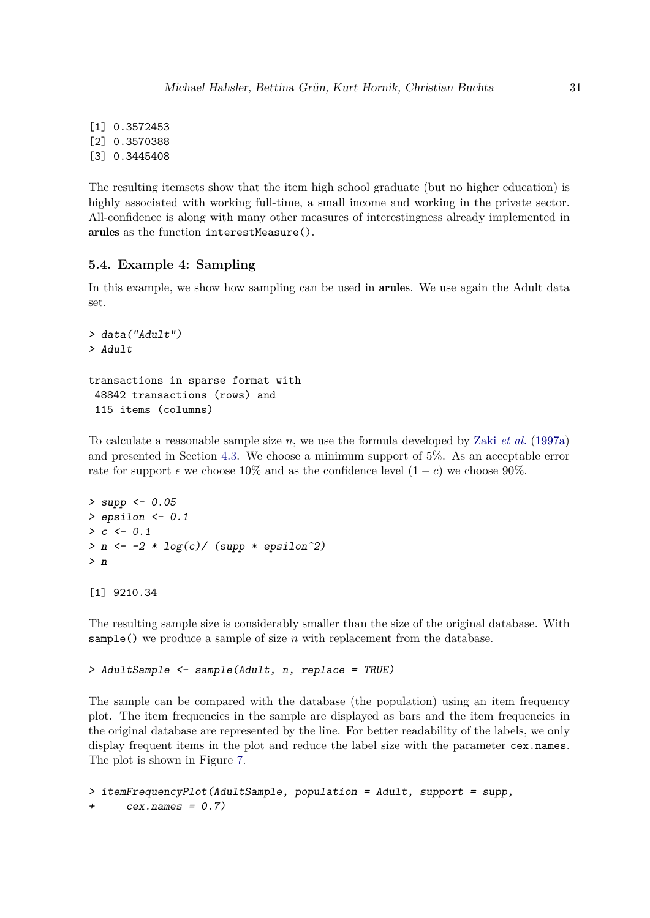[1] 0.3572453 [2] 0.3570388 [3] 0.3445408

The resulting itemsets show that the item high school graduate (but no higher education) is highly associated with working full-time, a small income and working in the private sector. All-confidence is along with many other measures of interestingness already implemented in arules as the function interestMeasure().

#### **5.4. Example 4: Sampling**

In this example, we show how sampling can be used in arules. We use again the Adult data set.

```
> data("Adult")
> Adult
transactions in sparse format with
48842 transactions (rows) and
 115 items (columns)
```
To calculate a reasonable sample size *n*, we use the formula developed by Zaki *[et al.](#page-37-5)* [\(1997a\)](#page-37-5) and presented in Section [4.3.](#page-11-0) We choose a minimum support of 5%. As an acceptable error rate for support  $\epsilon$  we choose 10% and as the confidence level  $(1 - c)$  we choose 90%.

```
> supp <- 0.05
> epsilon <- 0.1
> c <- 0.1
> n <- -2 * log(c)/ (supp * epsilon^2)
> n
```

```
[1] 9210.34
```
The resulting sample size is considerably smaller than the size of the original database. With sample() we produce a sample of size *n* with replacement from the database.

```
> AdultSample <- sample(Adult, n, replace = TRUE)
```
The sample can be compared with the database (the population) using an item frequency plot. The item frequencies in the sample are displayed as bars and the item frequencies in the original database are represented by the line. For better readability of the labels, we only display frequent items in the plot and reduce the label size with the parameter cex.names. The plot is shown in Figure [7.](#page-31-0)

```
> itemFrequencyPlot(AdultSample, population = Adult, support = supp,
+ cex.names = 0.7)
```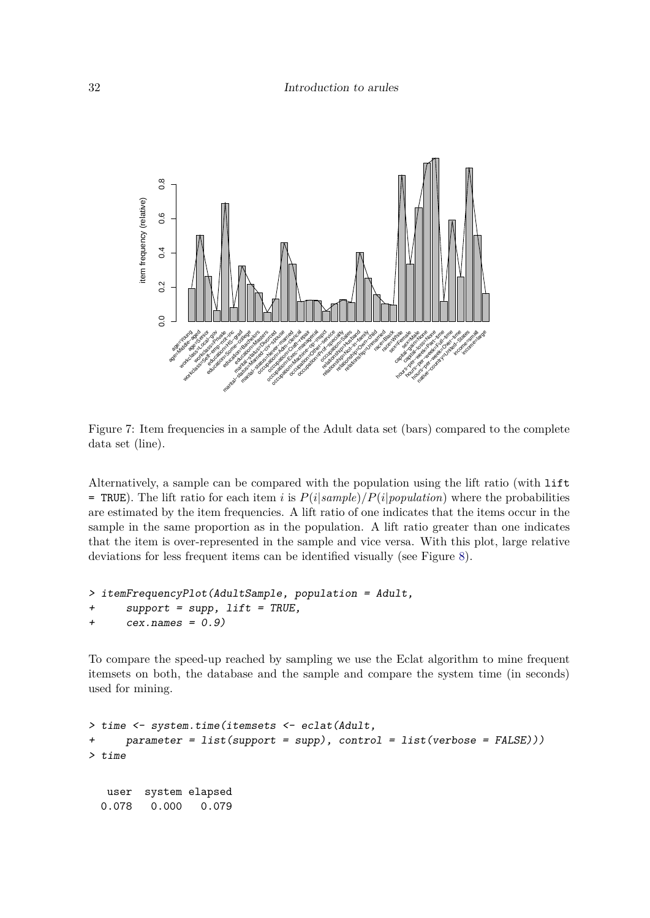

<span id="page-31-0"></span>Figure 7: Item frequencies in a sample of the Adult data set (bars) compared to the complete data set (line).

Alternatively, a sample can be compared with the population using the lift ratio (with lift  $=$  TRUE). The lift ratio for each item *i* is  $P(i|sample)/P(i|population)$  where the probabilities are estimated by the item frequencies. A lift ratio of one indicates that the items occur in the sample in the same proportion as in the population. A lift ratio greater than one indicates that the item is over-represented in the sample and vice versa. With this plot, large relative deviations for less frequent items can be identified visually (see Figure [8\)](#page-32-0).

```
> itemFrequencyPlot(AdultSample, population = Adult,
+ support = supp, lift = TRUE,
+ cex.names = 0.9)
```
To compare the speed-up reached by sampling we use the Eclat algorithm to mine frequent itemsets on both, the database and the sample and compare the system time (in seconds) used for mining.

```
> time <- system.time(itemsets <- eclat(Adult,
+ parameter = list(support = supp), control = list(verbose = FALSE)))
> time
  user system elapsed
 0.078 0.000 0.079
```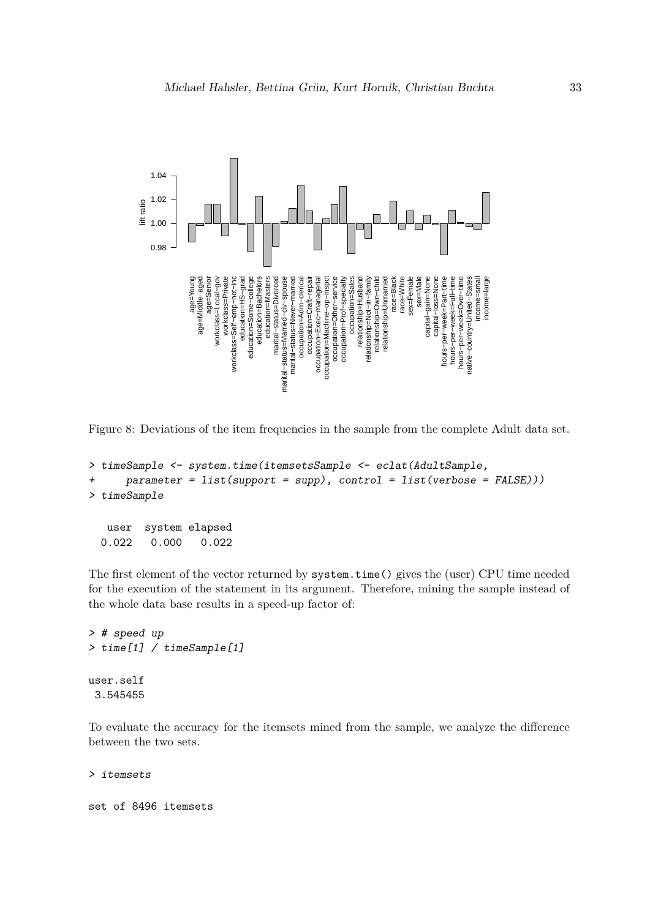

<span id="page-32-0"></span>Figure 8: Deviations of the item frequencies in the sample from the complete Adult data set.

```
> timeSample <- system.time(itemsetsSample <- eclat(AdultSample,
      + parameter = list(support = supp), control = list(verbose = FALSE)))
> timeSample
```
user system elapsed 0.022 0.000 0.022

The first element of the vector returned by system.time() gives the (user) CPU time needed for the execution of the statement in its argument. Therefore, mining the sample instead of the whole data base results in a speed-up factor of:

```
> # speed up
> time[1] / timeSample[1]
user.self
3.545455
```
To evaluate the accuracy for the itemsets mined from the sample, we analyze the difference between the two sets.

```
> itemsets
```
set of 8496 itemsets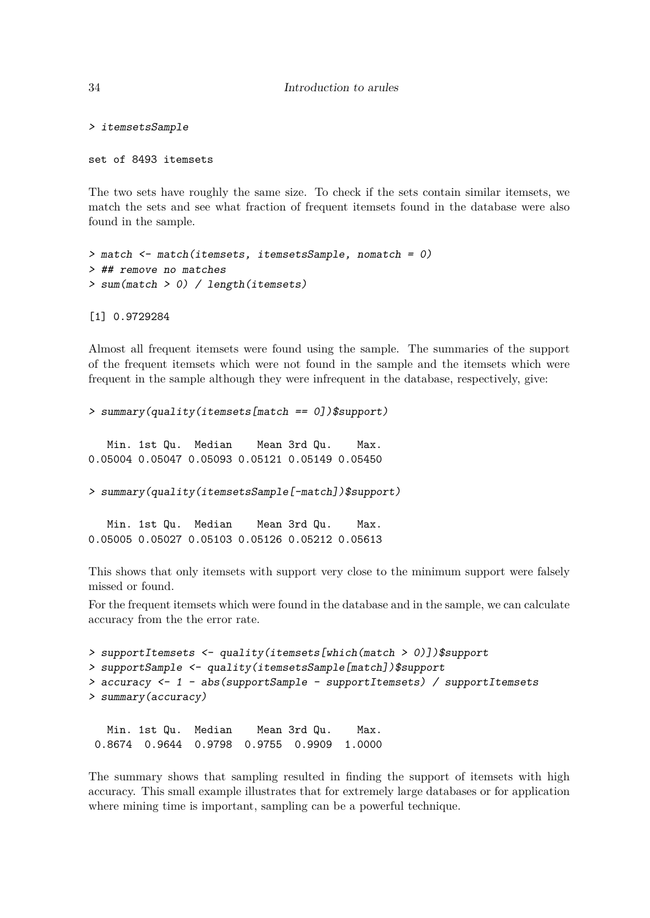*> itemsetsSample*

set of 8493 itemsets

The two sets have roughly the same size. To check if the sets contain similar itemsets, we match the sets and see what fraction of frequent itemsets found in the database were also found in the sample.

```
> match <- match(itemsets, itemsetsSample, nomatch = 0)
> ## remove no matches
> sum(match > 0) / length(itemsets)
```
[1] 0.9729284

Almost all frequent itemsets were found using the sample. The summaries of the support of the frequent itemsets which were not found in the sample and the itemsets which were frequent in the sample although they were infrequent in the database, respectively, give:

```
> summary(quality(itemsets[match == 0])$support)
```
Min. 1st Qu. Median Mean 3rd Qu. Max. 0.05004 0.05047 0.05093 0.05121 0.05149 0.05450

*> summary(quality(itemsetsSample[-match])\$support)*

Min. 1st Qu. Median Mean 3rd Qu. Max. 0.05005 0.05027 0.05103 0.05126 0.05212 0.05613

This shows that only itemsets with support very close to the minimum support were falsely missed or found.

For the frequent itemsets which were found in the database and in the sample, we can calculate accuracy from the the error rate.

```
> supportItemsets <- quality(itemsets[which(match > 0)])$support
> supportSample <- quality(itemsetsSample[match])$support
> accuracy <- 1 - abs(supportSample - supportItemsets) / supportItemsets
> summary(accuracy)
```
Min. 1st Qu. Median Mean 3rd Qu. Max. 0.8674 0.9644 0.9798 0.9755 0.9909 1.0000

The summary shows that sampling resulted in finding the support of itemsets with high accuracy. This small example illustrates that for extremely large databases or for application where mining time is important, sampling can be a powerful technique.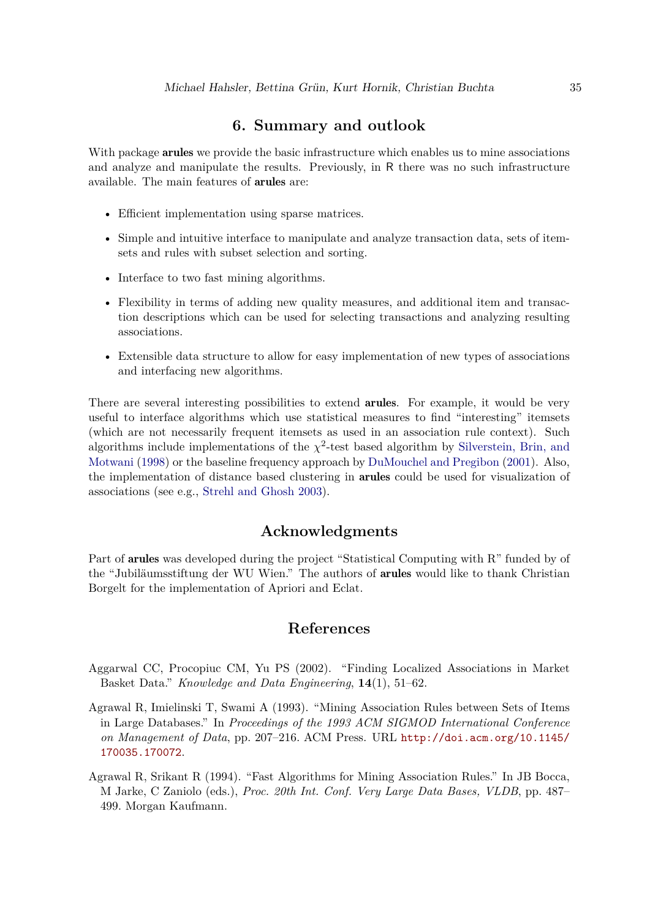# **6. Summary and outlook**

With package **arules** we provide the basic infrastructure which enables us to mine associations and analyze and manipulate the results. Previously, in R there was no such infrastructure available. The main features of arules are:

- Efficient implementation using sparse matrices.
- Simple and intuitive interface to manipulate and analyze transaction data, sets of itemsets and rules with subset selection and sorting.
- Interface to two fast mining algorithms.
- Flexibility in terms of adding new quality measures, and additional item and transaction descriptions which can be used for selecting transactions and analyzing resulting associations.
- Extensible data structure to allow for easy implementation of new types of associations and interfacing new algorithms.

There are several interesting possibilities to extend **arules**. For example, it would be very useful to interface algorithms which use statistical measures to find "interesting" itemsets (which are not necessarily frequent itemsets as used in an association rule context). Such algorithms include implementations of the  $\chi^2$ -test based algorithm by [Silverstein, Brin, and](#page-37-9) [Motwani](#page-37-9) [\(1998\)](#page-37-9) or the baseline frequency approach by [DuMouchel and Pregibon](#page-35-14) [\(2001\)](#page-35-14). Also, the implementation of distance based clustering in arules could be used for visualization of associations (see e.g., [Strehl and Ghosh 2003\)](#page-37-10).

# **Acknowledgments**

Part of arules was developed during the project "Statistical Computing with R" funded by of the "Jubiläumsstiftung der WU Wien." The authors of arules would like to thank Christian Borgelt for the implementation of Apriori and Eclat.

# **References**

- <span id="page-34-2"></span>Aggarwal CC, Procopiuc CM, Yu PS (2002). "Finding Localized Associations in Market Basket Data." *Knowledge and Data Engineering*, **14**(1), 51–62.
- <span id="page-34-0"></span>Agrawal R, Imielinski T, Swami A (1993). "Mining Association Rules between Sets of Items in Large Databases." In *Proceedings of the 1993 ACM SIGMOD International Conference on Management of Data*, pp. 207–216. ACM Press. URL [http://doi.acm.org/10.1145/](http://doi.acm.org/10.1145/170035.170072) [170035.170072](http://doi.acm.org/10.1145/170035.170072).
- <span id="page-34-1"></span>Agrawal R, Srikant R (1994). "Fast Algorithms for Mining Association Rules." In JB Bocca, M Jarke, C Zaniolo (eds.), *Proc. 20th Int. Conf. Very Large Data Bases, VLDB*, pp. 487– 499. Morgan Kaufmann.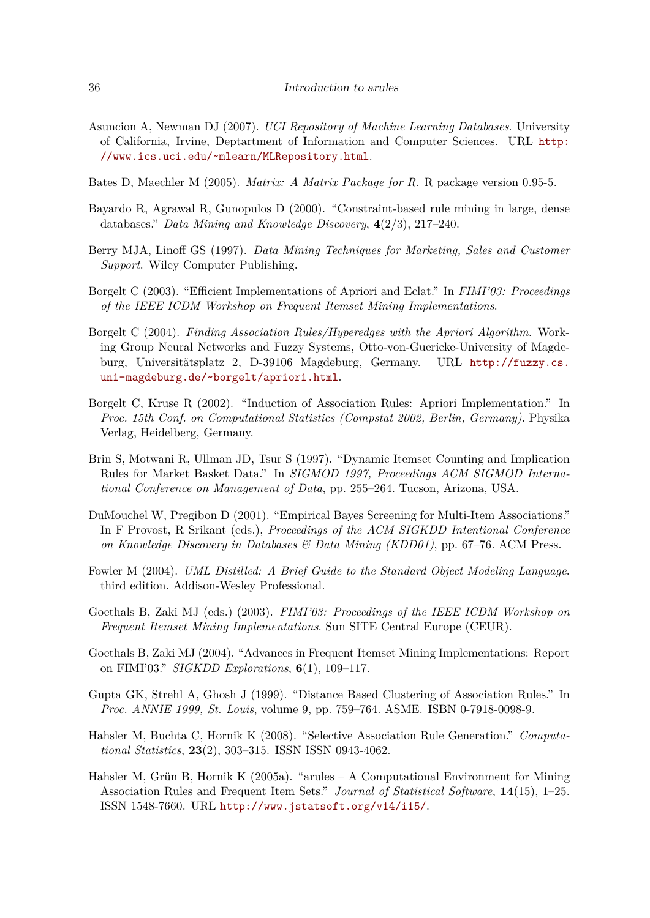- <span id="page-35-13"></span>Asuncion A, Newman DJ (2007). *UCI Repository of Machine Learning Databases*. University of California, Irvine, Deptartment of Information and Computer Sciences. URL [http:](http://www.ics.uci.edu/~mlearn/MLRepository.html) [//www.ics.uci.edu/~mlearn/MLRepository.html](http://www.ics.uci.edu/~mlearn/MLRepository.html).
- <span id="page-35-5"></span>Bates D, Maechler M (2005). *Matrix: A Matrix Package for R*. R package version 0.95-5.
- <span id="page-35-11"></span>Bayardo R, Agrawal R, Gunopulos D (2000). "Constraint-based rule mining in large, dense databases." *Data Mining and Knowledge Discovery*, **4**(2/3), 217–240.
- <span id="page-35-6"></span>Berry MJA, Linoff GS (1997). *Data Mining Techniques for Marketing, Sales and Customer Support*. Wiley Computer Publishing.
- <span id="page-35-2"></span>Borgelt C (2003). "Efficient Implementations of Apriori and Eclat." In *FIMI'03: Proceedings of the IEEE ICDM Workshop on Frequent Itemset Mining Implementations*.
- <span id="page-35-8"></span>Borgelt C (2004). *Finding Association Rules/Hyperedges with the Apriori Algorithm*. Working Group Neural Networks and Fuzzy Systems, Otto-von-Guericke-University of Magdeburg, Universitätsplatz 2, D-39106 Magdeburg, Germany. URL [http://fuzzy.cs.](http://fuzzy.cs.uni-magdeburg.de/~borgelt/apriori.html) [uni-magdeburg.de/~borgelt/apriori.html](http://fuzzy.cs.uni-magdeburg.de/~borgelt/apriori.html).
- <span id="page-35-7"></span>Borgelt C, Kruse R (2002). "Induction of Association Rules: Apriori Implementation." In *Proc. 15th Conf. on Computational Statistics (Compstat 2002, Berlin, Germany)*. Physika Verlag, Heidelberg, Germany.
- <span id="page-35-0"></span>Brin S, Motwani R, Ullman JD, Tsur S (1997). "Dynamic Itemset Counting and Implication Rules for Market Basket Data." In *SIGMOD 1997, Proceedings ACM SIGMOD International Conference on Management of Data*, pp. 255–264. Tucson, Arizona, USA.
- <span id="page-35-14"></span>DuMouchel W, Pregibon D (2001). "Empirical Bayes Screening for Multi-Item Associations." In F Provost, R Srikant (eds.), *Proceedings of the ACM SIGKDD Intentional Conference on Knowledge Discovery in Databases & Data Mining (KDD01)*, pp. 67–76. ACM Press.
- <span id="page-35-4"></span>Fowler M (2004). *UML Distilled: A Brief Guide to the Standard Object Modeling Language*. third edition. Addison-Wesley Professional.
- <span id="page-35-9"></span>Goethals B, Zaki MJ (eds.) (2003). *FIMI'03: Proceedings of the IEEE ICDM Workshop on Frequent Itemset Mining Implementations*. Sun SITE Central Europe (CEUR).
- <span id="page-35-1"></span>Goethals B, Zaki MJ (2004). "Advances in Frequent Itemset Mining Implementations: Report on FIMI'03." *SIGKDD Explorations*, **6**(1), 109–117.
- <span id="page-35-12"></span>Gupta GK, Strehl A, Ghosh J (1999). "Distance Based Clustering of Association Rules." In *Proc. ANNIE 1999, St. Louis*, volume 9, pp. 759–764. ASME. ISBN 0-7918-0098-9.
- <span id="page-35-10"></span>Hahsler M, Buchta C, Hornik K (2008). "Selective Association Rule Generation." *Computational Statistics*, **23**(2), 303–315. ISSN ISSN 0943-4062.
- <span id="page-35-3"></span>Hahsler M, Grün B, Hornik K (2005a). "arules – A Computational Environment for Mining Association Rules and Frequent Item Sets." *Journal of Statistical Software*, **14**(15), 1–25. ISSN 1548-7660. URL <http://www.jstatsoft.org/v14/i15/>.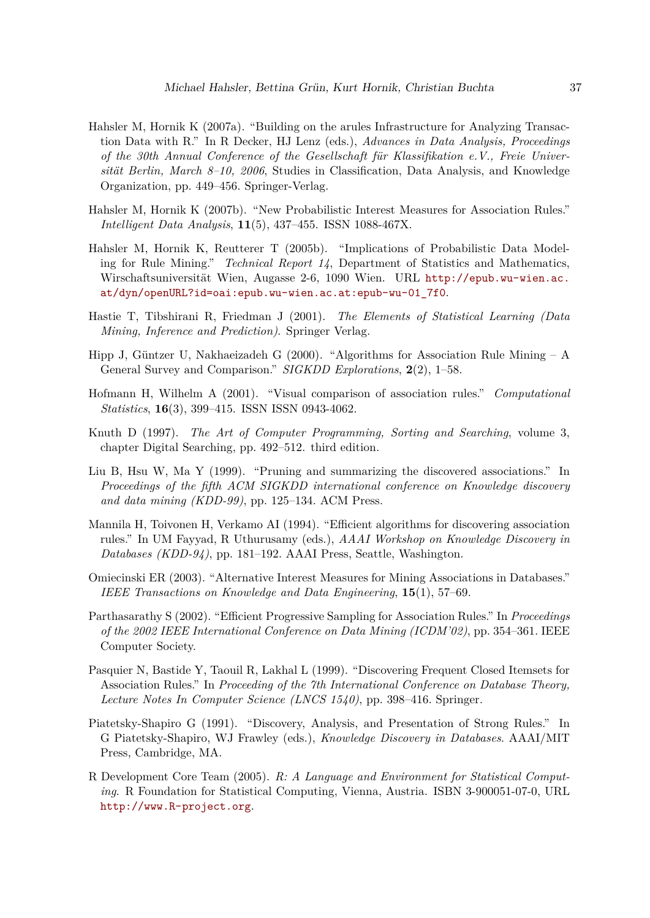- <span id="page-36-13"></span>Hahsler M, Hornik K (2007a). "Building on the arules Infrastructure for Analyzing Transaction Data with R." In R Decker, HJ Lenz (eds.), *Advances in Data Analysis, Proceedings of the 30th Annual Conference of the Gesellschaft für Klassifikation e.V., Freie Universität Berlin, March 8–10, 2006*, Studies in Classification, Data Analysis, and Knowledge Organization, pp. 449–456. Springer-Verlag.
- <span id="page-36-12"></span>Hahsler M, Hornik K (2007b). "New Probabilistic Interest Measures for Association Rules." *Intelligent Data Analysis*, **11**(5), 437–455. ISSN 1088-467X.
- <span id="page-36-9"></span>Hahsler M, Hornik K, Reutterer T (2005b). "Implications of Probabilistic Data Modeling for Rule Mining." *Technical Report 14*, Department of Statistics and Mathematics, Wirschaftsuniversität Wien, Augasse 2-6, 1090 Wien. URL [http://epub.wu-wien.ac.](http://epub.wu-wien.ac.at/dyn/openURL?id=oai:epub.wu-wien.ac.at:epub-wu-01_7f0) [at/dyn/openURL?id=oai:epub.wu-wien.ac.at:epub-wu-01\\_7f0](http://epub.wu-wien.ac.at/dyn/openURL?id=oai:epub.wu-wien.ac.at:epub-wu-01_7f0).
- <span id="page-36-1"></span>Hastie T, Tibshirani R, Friedman J (2001). *The Elements of Statistical Learning (Data Mining, Inference and Prediction)*. Springer Verlag.
- <span id="page-36-2"></span>Hipp J, Güntzer U, Nakhaeizadeh G (2000). "Algorithms for Association Rule Mining – A General Survey and Comparison." *SIGKDD Explorations*, **2**(2), 1–58.
- <span id="page-36-11"></span>Hofmann H, Wilhelm A (2001). "Visual comparison of association rules." *Computational Statistics*, **16**(3), 399–415. ISSN ISSN 0943-4062.
- <span id="page-36-6"></span>Knuth D (1997). *The Art of Computer Programming, Sorting and Searching*, volume 3, chapter Digital Searching, pp. 492–512. third edition.
- <span id="page-36-10"></span>Liu B, Hsu W, Ma Y (1999). "Pruning and summarizing the discovered associations." In *Proceedings of the fifth ACM SIGKDD international conference on Knowledge discovery and data mining (KDD-99)*, pp. 125–134. ACM Press.
- <span id="page-36-7"></span>Mannila H, Toivonen H, Verkamo AI (1994). "Efficient algorithms for discovering association rules." In UM Fayyad, R Uthurusamy (eds.), *AAAI Workshop on Knowledge Discovery in Databases (KDD-94)*, pp. 181–192. AAAI Press, Seattle, Washington.
- <span id="page-36-4"></span>Omiecinski ER (2003). "Alternative Interest Measures for Mining Associations in Databases." *IEEE Transactions on Knowledge and Data Engineering*, **15**(1), 57–69.
- <span id="page-36-8"></span>Parthasarathy S (2002). "Efficient Progressive Sampling for Association Rules." In *Proceedings of the 2002 IEEE International Conference on Data Mining (ICDM'02)*, pp. 354–361. IEEE Computer Society.
- <span id="page-36-3"></span>Pasquier N, Bastide Y, Taouil R, Lakhal L (1999). "Discovering Frequent Closed Itemsets for Association Rules." In *Proceeding of the 7th International Conference on Database Theory, Lecture Notes In Computer Science (LNCS 1540)*, pp. 398–416. Springer.
- <span id="page-36-0"></span>Piatetsky-Shapiro G (1991). "Discovery, Analysis, and Presentation of Strong Rules." In G Piatetsky-Shapiro, WJ Frawley (eds.), *Knowledge Discovery in Databases*. AAAI/MIT Press, Cambridge, MA.
- <span id="page-36-5"></span>R Development Core Team (2005). *R: A Language and Environment for Statistical Computing*. R Foundation for Statistical Computing, Vienna, Austria. ISBN 3-900051-07-0, URL <http://www.R-project.org>.